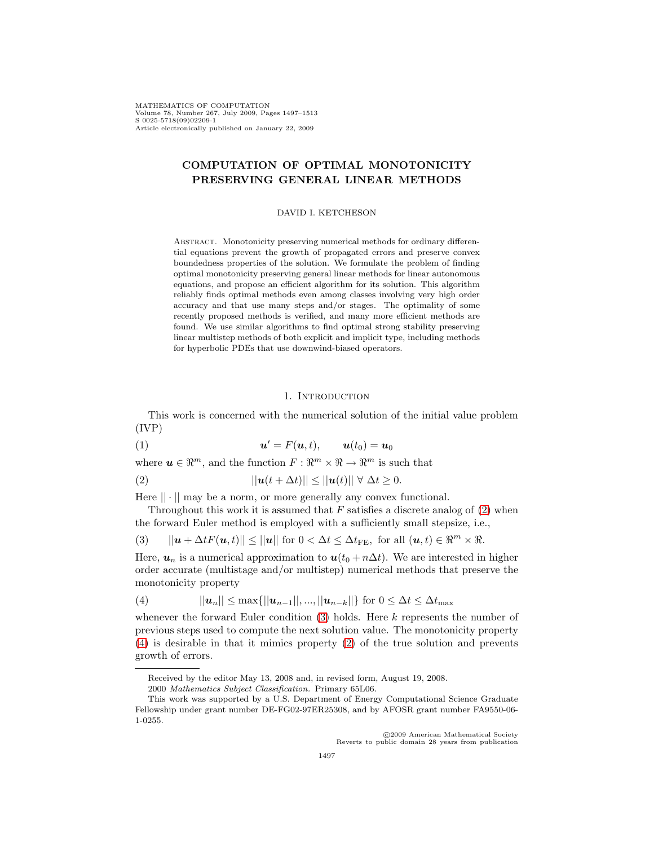MATHEMATICS OF COMPUTATION Volume 78, Number 267, July 2009, Pages 1497–1513 S 0025-5718(09)02209-1 Article electronically published on January 22, 2009

# **COMPUTATION OF OPTIMAL MONOTONICITY PRESERVING GENERAL LINEAR METHODS**

#### DAVID I. KETCHESON

ABSTRACT. Monotonicity preserving numerical methods for ordinary differential equations prevent the growth of propagated errors and preserve convex boundedness properties of the solution. We formulate the problem of finding optimal monotonicity preserving general linear methods for linear autonomous equations, and propose an efficient algorithm for its solution. This algorithm reliably finds optimal methods even among classes involving very high order accuracy and that use many steps and/or stages. The optimality of some recently proposed methods is verified, and many more efficient methods are found. We use similar algorithms to find optimal strong stability preserving linear multistep methods of both explicit and implicit type, including methods for hyperbolic PDEs that use downwind-biased operators.

### <span id="page-0-1"></span><span id="page-0-0"></span>1. INTRODUCTION

<span id="page-0-3"></span>This work is concerned with the numerical solution of the initial value problem (IVP)

$$
(1) \t\t\t  $u' = F(u,t), \t\t u(t_0) = u_0$
$$

where  $u \in \mathbb{R}^m$ , and the function  $F: \mathbb{R}^m \times \mathbb{R} \to \mathbb{R}^m$  is such that

(2) 
$$
||\mathbf{u}(t+\Delta t)|| \leq ||\mathbf{u}(t)|| \ \forall \ \Delta t \geq 0.
$$

Here  $|| \cdot ||$  may be a norm, or more generally any convex functional.

Throughout this work it is assumed that  $F$  satisfies a discrete analog of  $(2)$  when the forward Euler method is employed with a sufficiently small stepsize, i.e.,

(3) 
$$
||\mathbf{u} + \Delta t F(\mathbf{u}, t)|| \le ||\mathbf{u}|| \text{ for } 0 < \Delta t \le \Delta t_{\text{FE}}, \text{ for all } (\mathbf{u}, t) \in \mathbb{R}^m \times \mathbb{R}.
$$

Here,  $u_n$  is a numerical approximation to  $u(t_0 + n\Delta t)$ . We are interested in higher order accurate (multistage and/or multistep) numerical methods that preserve the monotonicity property

<span id="page-0-2"></span>(4) 
$$
||u_n|| \leq \max\{||u_{n-1}||, ..., ||u_{n-k}||\} \text{ for } 0 \leq \Delta t \leq \Delta t_{\max}
$$

whenever the forward Euler condition  $(3)$  holds. Here k represents the number of previous steps used to compute the next solution value. The monotonicity property [\(4\)](#page-0-2) is desirable in that it mimics property [\(2\)](#page-0-0) of the true solution and prevents growth of errors.

c 2009 American Mathematical Society Reverts to public domain 28 years from publication

Received by the editor May 13, 2008 and, in revised form, August 19, 2008.

<sup>2000</sup> Mathematics Subject Classification. Primary 65L06.

This work was supported by a U.S. Department of Energy Computational Science Graduate Fellowship under grant number DE-FG02-97ER25308, and by AFOSR grant number FA9550-06- 1-0255.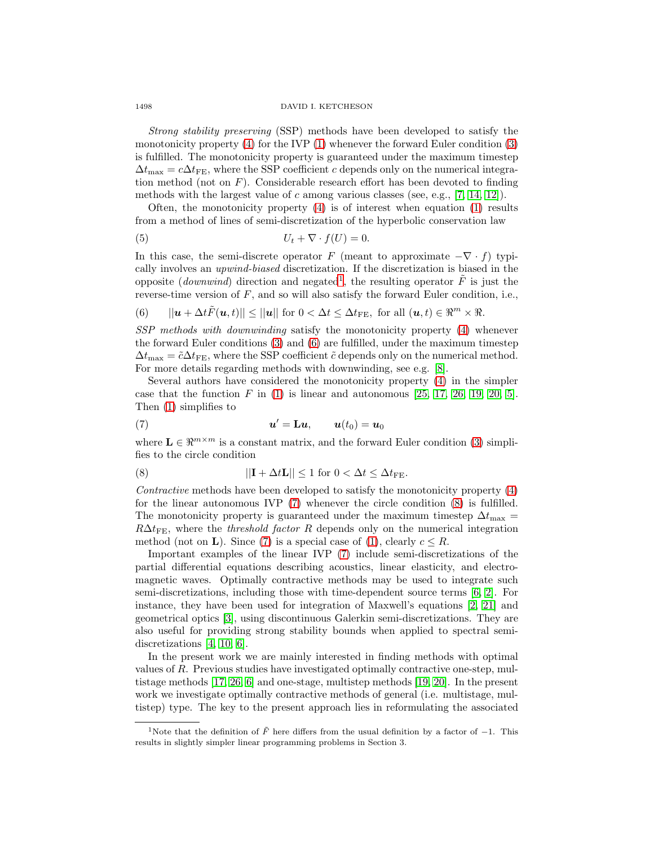#### 1498 DAVID I. KETCHESON

Strong stability preserving (SSP) methods have been developed to satisfy the monotonicity property [\(4\)](#page-0-2) for the IVP [\(1\)](#page-0-3) whenever the forward Euler condition [\(3\)](#page-0-1) is fulfilled. The monotonicity property is guaranteed under the maximum timestep  $\Delta t_{\text{max}} = c \Delta t_{\text{FE}}$ , where the SSP coefficient c depends only on the numerical integration method (not on  $F$ ). Considerable research effort has been devoted to finding methods with the largest value of c among various classes (see, e.g.,  $[7, 14, 12]$  $[7, 14, 12]$  $[7, 14, 12]$ ).

Often, the monotonicity property  $(4)$  is of interest when equation  $(1)$  results from a method of lines of semi-discretization of the hyperbolic conservation law

$$
(5) \t\t\t U_t + \nabla \cdot f(U) = 0.
$$

In this case, the semi-discrete operator F (meant to approximate  $-\nabla \cdot f$ ) typically involves an upwind-biased discretization. If the discretization is biased in the opposite (*downwind*) direction and negated<sup>[1](#page-1-0)</sup>, the resulting operator  $\tilde{F}$  is just the reverse-time version of  $F$ , and so will also satisfy the forward Euler condition, i.e.,

<span id="page-1-1"></span>(6) 
$$
||\mathbf{u} + \Delta t \tilde{F}(\mathbf{u}, t)|| \le ||\mathbf{u}|| \text{ for } 0 < \Delta t \le \Delta t_{\text{FE}}, \text{ for all } (\mathbf{u}, t) \in \mathbb{R}^m \times \mathbb{R}.
$$

SSP methods with downwinding satisfy the monotonicity property [\(4\)](#page-0-2) whenever the forward Euler conditions [\(3\)](#page-0-1) and [\(6\)](#page-1-1) are fulfilled, under the maximum timestep  $\Delta t_{\text{max}} = \tilde{c}\Delta t_{\text{FE}}$ , where the SSP coefficient  $\tilde{c}$  depends only on the numerical method. For more details regarding methods with downwinding, see e.g. [\[8\]](#page-15-3).

Several authors have considered the monotonicity property [\(4\)](#page-0-2) in the simpler case that the function  $F$  in [\(1\)](#page-0-3) is linear and autonomous [\[25,](#page-16-0) [17,](#page-15-4) [26,](#page-16-1) [19,](#page-15-5) [20,](#page-15-6) [5\]](#page-15-7). Then [\(1\)](#page-0-3) simplifies to

<span id="page-1-2"></span>(7) 
$$
\mathbf{u}' = \mathbf{L}\mathbf{u}, \qquad \mathbf{u}(t_0) = \mathbf{u}_0
$$

<span id="page-1-3"></span>where  $\mathbf{L} \in \mathbb{R}^{m \times m}$  is a constant matrix, and the forward Euler condition [\(3\)](#page-0-1) simplifies to the circle condition

(8) 
$$
||\mathbf{I} + \Delta t \mathbf{L}|| \le 1 \text{ for } 0 < \Delta t \le \Delta t_{\text{FE}}.
$$

Contractive methods have been developed to satisfy the monotonicity property [\(4\)](#page-0-2) for the linear autonomous IVP [\(7\)](#page-1-2) whenever the circle condition [\(8\)](#page-1-3) is fulfilled. The monotonicity property is guaranteed under the maximum timestep  $\Delta t_{\rm max}$  =  $R\Delta t_{\text{FE}}$ , where the *threshold factor R* depends only on the numerical integration method (not on **L**). Since [\(7\)](#page-1-2) is a special case of [\(1\)](#page-0-3), clearly  $c \leq R$ .

Important examples of the linear IVP [\(7\)](#page-1-2) include semi-discretizations of the partial differential equations describing acoustics, linear elasticity, and electromagnetic waves. Optimally contractive methods may be used to integrate such semi-discretizations, including those with time-dependent source terms [\[6,](#page-15-8) [2\]](#page-15-9). For instance, they have been used for integration of Maxwell's equations [\[2,](#page-15-9) [21\]](#page-16-2) and geometrical optics [\[3\]](#page-15-10), using discontinuous Galerkin semi-discretizations. They are also useful for providing strong stability bounds when applied to spectral semidiscretizations [\[4,](#page-15-11) [10,](#page-15-12) [6\]](#page-15-8).

In the present work we are mainly interested in finding methods with optimal values of R. Previous studies have investigated optimally contractive one-step, multistage methods [\[17,](#page-15-4) [26,](#page-16-1) [6\]](#page-15-8) and one-stage, multistep methods [\[19,](#page-15-5) [20\]](#page-15-6). In the present work we investigate optimally contractive methods of general (i.e. multistage, multistep) type. The key to the present approach lies in reformulating the associated

<span id="page-1-0"></span><sup>&</sup>lt;sup>1</sup>Note that the definition of  $\tilde{F}$  here differs from the usual definition by a factor of -1. This results in slightly simpler linear programming problems in Section 3.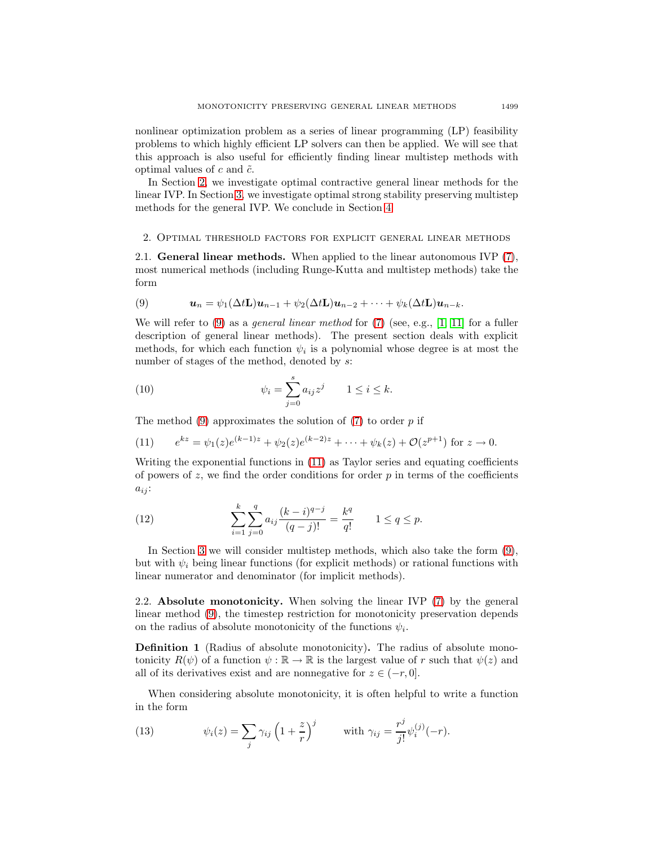nonlinear optimization problem as a series of linear programming (LP) feasibility problems to which highly efficient LP solvers can then be applied. We will see that this approach is also useful for efficiently finding linear multistep methods with optimal values of  $c$  and  $\tilde{c}$ .

In Section [2,](#page-2-0) we investigate optimal contractive general linear methods for the linear IVP. In Section [3,](#page-7-0) we investigate optimal strong stability preserving multistep methods for the general IVP. We conclude in Section [4.](#page-14-0)

### 2. Optimal threshold factors for explicit general linear methods

<span id="page-2-0"></span>2.1. **General linear methods.** When applied to the linear autonomous IVP [\(7\)](#page-1-2), most numerical methods (including Runge-Kutta and multistep methods) take the form

<span id="page-2-1"></span>(9) 
$$
\mathbf{u}_n = \psi_1(\Delta t \mathbf{L}) \mathbf{u}_{n-1} + \psi_2(\Delta t \mathbf{L}) \mathbf{u}_{n-2} + \cdots + \psi_k(\Delta t \mathbf{L}) \mathbf{u}_{n-k}.
$$

We will refer to  $(9)$  as a *general linear method* for  $(7)$  (see, e.g., [\[1,](#page-15-13) [11\]](#page-15-14) for a fuller description of general linear methods). The present section deals with explicit methods, for which each function  $\psi_i$  is a polynomial whose degree is at most the number of stages of the method, denoted by  $s$ :

<span id="page-2-5"></span>(10) 
$$
\psi_i = \sum_{j=0}^s a_{ij} z^j \qquad 1 \le i \le k.
$$

<span id="page-2-2"></span>The method  $(9)$  approximates the solution of  $(7)$  to order p if

(11) 
$$
e^{kz} = \psi_1(z)e^{(k-1)z} + \psi_2(z)e^{(k-2)z} + \dots + \psi_k(z) + \mathcal{O}(z^{p+1}) \text{ for } z \to 0.
$$

Writing the exponential functions in [\(11\)](#page-2-2) as Taylor series and equating coefficients of powers of  $z$ , we find the order conditions for order  $p$  in terms of the coefficients  $a_{ij}$ :

<span id="page-2-4"></span>(12) 
$$
\sum_{i=1}^{k} \sum_{j=0}^{q} a_{ij} \frac{(k-i)^{q-j}}{(q-j)!} = \frac{k^q}{q!} \qquad 1 \le q \le p.
$$

In Section [3](#page-7-0) we will consider multistep methods, which also take the form [\(9\)](#page-2-1), but with  $\psi_i$  being linear functions (for explicit methods) or rational functions with linear numerator and denominator (for implicit methods).

2.2. **Absolute monotonicity.** When solving the linear IVP [\(7\)](#page-1-2) by the general linear method [\(9\)](#page-2-1), the timestep restriction for monotonicity preservation depends on the radius of absolute monotonicity of the functions  $\psi_i$ .

**Definition 1** (Radius of absolute monotonicity)**.** The radius of absolute monotonicity  $R(\psi)$  of a function  $\psi : \mathbb{R} \to \mathbb{R}$  is the largest value of r such that  $\psi(z)$  and all of its derivatives exist and are nonnegative for  $z \in (-r, 0]$ .

<span id="page-2-3"></span>When considering absolute monotonicity, it is often helpful to write a function in the form

(13) 
$$
\psi_i(z) = \sum_j \gamma_{ij} \left( 1 + \frac{z}{r} \right)^j \quad \text{with } \gamma_{ij} = \frac{r^j}{j!} \psi_i^{(j)}(-r).
$$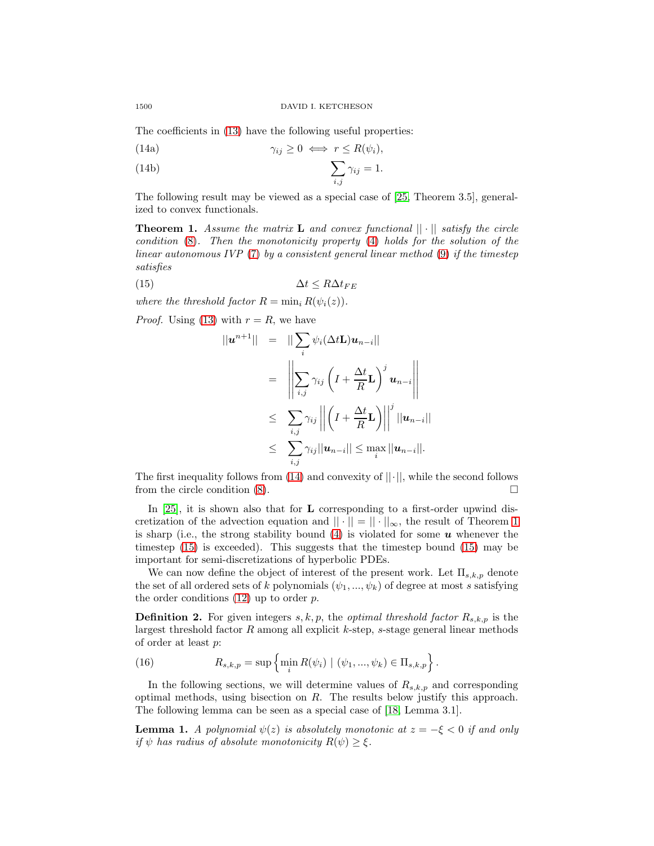<span id="page-3-3"></span><span id="page-3-0"></span>The coefficients in [\(13\)](#page-2-3) have the following useful properties:

(14a) 
$$
\gamma_{ij} \geq 0 \iff r \leq R(\psi_i),
$$

(14b) 
$$
\sum_{i,j} \gamma_{ij} = 1.
$$

<span id="page-3-1"></span>The following result may be viewed as a special case of [\[25,](#page-16-0) Theorem 3.5], generalized to convex functionals.

**Theorem 1.** Assume the matrix **L** and convex functional  $|| \cdot ||$  satisfy the circle condition [\(8\)](#page-1-3). Then the monotonicity property [\(4\)](#page-0-2) holds for the solution of the linear autonomous IVP [\(7\)](#page-1-2) by a consistent general linear method [\(9\)](#page-2-1) if the timestep satisfies

<span id="page-3-2"></span>
$$
\Delta t \le R \Delta t_{FE}
$$

where the threshold factor  $R = \min_i R(\psi_i(z)).$ 

*Proof.* Using [\(13\)](#page-2-3) with  $r = R$ , we have

$$
||\mathbf{u}^{n+1}|| = ||\sum_{i} \psi_{i}(\Delta t \mathbf{L})\mathbf{u}_{n-i}||
$$
  
\n
$$
= \left\| \sum_{i,j} \gamma_{ij} \left( I + \frac{\Delta t}{R} \mathbf{L} \right)^{j} \mathbf{u}_{n-i} \right\|
$$
  
\n
$$
\leq \sum_{i,j} \gamma_{ij} || \left( I + \frac{\Delta t}{R} \mathbf{L} \right) ||^{j} ||\mathbf{u}_{n-i}||
$$
  
\n
$$
\leq \sum_{i,j} \gamma_{ij} ||\mathbf{u}_{n-i}|| \leq \max_{i} ||\mathbf{u}_{n-i}||.
$$

The first inequality follows from  $(14)$  and convexity of  $||\cdot||$ , while the second follows from the circle condition  $(8)$ .

In [\[25\]](#page-16-0), it is shown also that for **L** corresponding to a first-order upwind discretization of the advection equation and  $|| \cdot || = || \cdot ||_{\infty}$ , the result of Theorem [1](#page-3-1) is sharp (i.e., the strong stability bound [\(4\)](#page-0-2) is violated for some *u* whenever the timestep [\(15\)](#page-3-2) is exceeded). This suggests that the timestep bound [\(15\)](#page-3-2) may be important for semi-discretizations of hyperbolic PDEs.

We can now define the object of interest of the present work. Let  $\Pi_{s,k,p}$  denote the set of all ordered sets of k polynomials  $(\psi_1, ..., \psi_k)$  of degree at most s satisfying the order conditions  $(12)$  up to order p.

<span id="page-3-5"></span>**Definition 2.** For given integers  $s, k, p$ , the *optimal threshold factor*  $R_{s,k,p}$  is the largest threshold factor  $R$  among all explicit  $k$ -step,  $s$ -stage general linear methods of order at least p:

(16) 
$$
R_{s,k,p} = \sup \left\{ \min_i R(\psi_i) \mid (\psi_1, ..., \psi_k) \in \Pi_{s,k,p} \right\}.
$$

In the following sections, we will determine values of  $R_{s,k,p}$  and corresponding optimal methods, using bisection on R. The results below justify this approach. The following lemma can be seen as a special case of [\[18,](#page-15-15) Lemma 3.1].

<span id="page-3-4"></span>**Lemma 1.** A polynomial  $\psi(z)$  is absolutely monotonic at  $z = -\xi < 0$  if and only if  $\psi$  has radius of absolute monotonicity  $R(\psi) \geq \xi$ .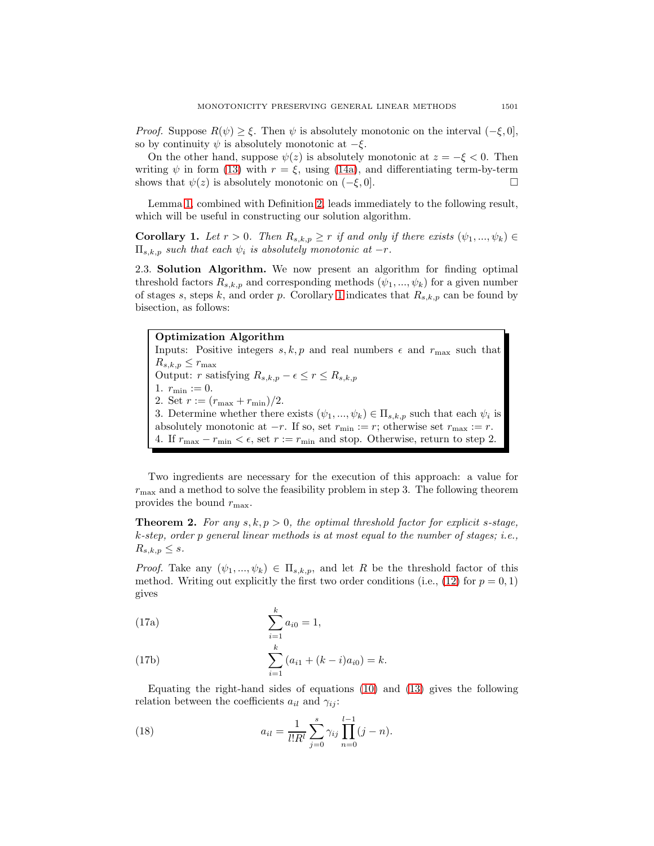*Proof.* Suppose  $R(\psi) \geq \xi$ . Then  $\psi$  is absolutely monotonic on the interval  $(-\xi, 0]$ , so by continuity  $\psi$  is absolutely monotonic at  $-\xi$ .

On the other hand, suppose  $\psi(z)$  is absolutely monotonic at  $z = -\xi < 0$ . Then writing  $\psi$  in form [\(13\)](#page-2-3) with  $r = \xi$ , using [\(14a\)](#page-3-3), and differentiating term-by-term shows that  $\psi(z)$  is absolutely monotonic on  $(-\xi, 0]$ .

<span id="page-4-0"></span>Lemma [1,](#page-3-4) combined with Definition [2,](#page-3-5) leads immediately to the following result, which will be useful in constructing our solution algorithm.

**Corollary 1.** Let  $r > 0$ . Then  $R_{s,k,p} \geq r$  if and only if there exists  $(\psi_1, ..., \psi_k) \in$  $\Pi_{s,k,p}$  such that each  $\psi_i$  is absolutely monotonic at  $-r$ .

<span id="page-4-3"></span>2.3. **Solution Algorithm.** We now present an algorithm for finding optimal threshold factors  $R_{s,k,p}$  and corresponding methods  $(\psi_1, ..., \psi_k)$  for a given number of stages s, steps k, and order p. Corollary [1](#page-4-0) indicates that  $R_{s,k,p}$  can be found by bisection, as follows:

**Optimization Algorithm** Inputs: Positive integers  $s, k, p$  and real numbers  $\epsilon$  and  $r_{\text{max}}$  such that  $R_{s,k,p} \leq r_{\text{max}}$ Output: r satisfying  $R_{s,k,p} - \epsilon \leq r \leq R_{s,k,p}$ 1.  $r_{\min} := 0$ . 2. Set  $r := (r_{\text{max}} + r_{\text{min}})/2$ . 3. Determine whether there exists  $(\psi_1, ..., \psi_k) \in \Pi_{s,k,p}$  such that each  $\psi_i$  is absolutely monotonic at  $-r$ . If so, set  $r_{\min} := r$ ; otherwise set  $r_{\max} := r$ . 4. If  $r_{\text{max}} - r_{\text{min}} < \epsilon$ , set  $r := r_{\text{min}}$  and stop. Otherwise, return to step 2.

Two ingredients are necessary for the execution of this approach: a value for  $r_{\text{max}}$  and a method to solve the feasibility problem in step 3. The following theorem provides the bound  $r_{\text{max}}$ .

**Theorem 2.** For any  $s, k, p > 0$ , the optimal threshold factor for explicit s-stage,  $k$ -step, order p general linear methods is at most equal to the number of stages; i.e.,  $R_{s,k,p} \leq s.$ 

*Proof.* Take any  $(\psi_1, ..., \psi_k) \in \Pi_{s,k,p}$ , and let R be the threshold factor of this method. Writing out explicitly the first two order conditions (i.e., [\(12\)](#page-2-4) for  $p = 0, 1$ ) gives

<span id="page-4-2"></span>(17a) 
$$
\sum_{i=1}^{k} a_{i0} = 1,
$$

(17b) 
$$
\sum_{i=1}^{k} (a_{i1} + (k-i)a_{i0}) = k.
$$

<span id="page-4-1"></span>Equating the right-hand sides of equations [\(10\)](#page-2-5) and [\(13\)](#page-2-3) gives the following relation between the coefficients  $a_{il}$  and  $\gamma_{ij}$ :

(18) 
$$
a_{il} = \frac{1}{l!R^l} \sum_{j=0}^s \gamma_{ij} \prod_{n=0}^{l-1} (j-n).
$$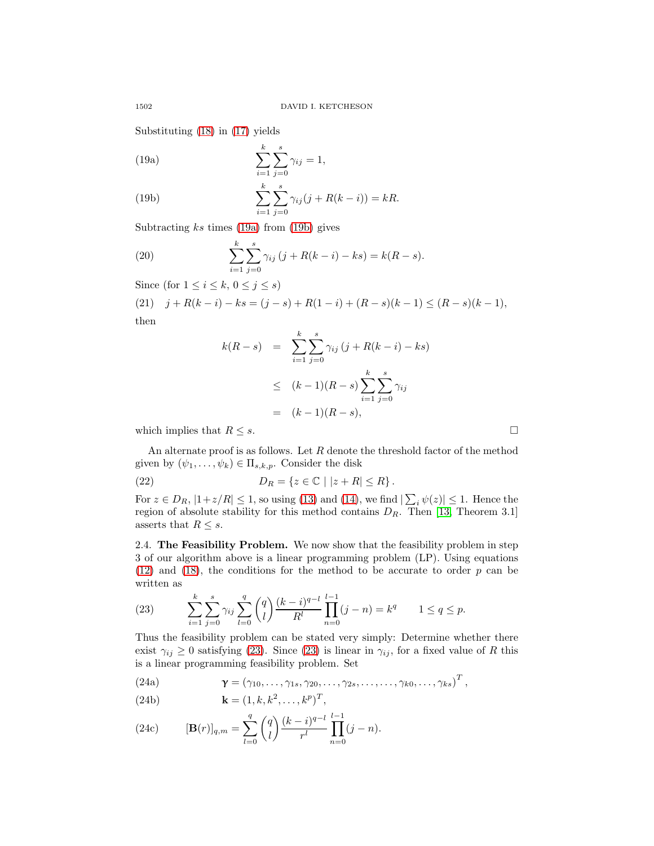Substituting [\(18\)](#page-4-1) in [\(17\)](#page-4-2) yields

<span id="page-5-0"></span>(19a) 
$$
\sum_{i=1}^{k} \sum_{j=0}^{s} \gamma_{ij} = 1,
$$

<span id="page-5-1"></span>(19b) 
$$
\sum_{i=1}^{k} \sum_{j=0}^{s} \gamma_{ij} (j + R(k - i)) = kR.
$$

Subtracting  $ks$  times [\(19a\)](#page-5-0) from [\(19b\)](#page-5-1) gives

(20) 
$$
\sum_{i=1}^{k} \sum_{j=0}^{s} \gamma_{ij} (j + R(k - i) - ks) = k(R - s).
$$

Since (for  $1 \leq i \leq k, 0 \leq j \leq s$ )

(21)  $j + R(k - i) - ks = (j - s) + R(1 - i) + (R - s)(k - 1) \leq (R - s)(k - 1),$ then

$$
k(R - s) = \sum_{i=1}^{k} \sum_{j=0}^{s} \gamma_{ij} (j + R(k - i) - ks)
$$
  
\n
$$
\leq (k - 1)(R - s) \sum_{i=1}^{k} \sum_{j=0}^{s} \gamma_{ij}
$$
  
\n
$$
= (k - 1)(R - s),
$$

which implies that  $R \leq s$ .

An alternate proof is as follows. Let  $R$  denote the threshold factor of the method given by  $(\psi_1,\ldots,\psi_k) \in \Pi_{s,k,p}$ . Consider the disk

(22) 
$$
D_R = \{z \in \mathbb{C} \mid |z + R| \leq R\}.
$$

For  $z \in D_R$ ,  $|1+z/R| \le 1$ , so using [\(13\)](#page-2-3) and [\(14\)](#page-3-0), we find  $|\sum_i \psi(z)| \le 1$ . Hence the region of absolute stability for this method contains  $D_R$ . Then [\[13,](#page-15-16) Theorem 3.1] asserts that  $R \leq s$ .

2.4. **The Feasibility Problem.** We now show that the feasibility problem in step 3 of our algorithm above is a linear programming problem (LP). Using equations  $(12)$  and  $(18)$ , the conditions for the method to be accurate to order p can be written as

<span id="page-5-2"></span>(23) 
$$
\sum_{i=1}^{k} \sum_{j=0}^{s} \gamma_{ij} \sum_{l=0}^{q} {q \choose l} \frac{(k-i)^{q-l}}{R^l} \prod_{n=0}^{l-1} (j-n) = k^q \qquad 1 \le q \le p.
$$

Thus the feasibility problem can be stated very simply: Determine whether there exist  $\gamma_{ij} \geq 0$  satisfying [\(23\)](#page-5-2). Since (23) is linear in  $\gamma_{ij}$ , for a fixed value of R this is a linear programming feasibility problem. Set

(24a) 
$$
\boldsymbol{\gamma} = (\gamma_{10}, \ldots, \gamma_{1s}, \gamma_{20}, \ldots, \gamma_{2s}, \ldots, \ldots, \gamma_{k0}, \ldots, \gamma_{ks})^T,
$$

(24b) 
$$
\mathbf{k} = (1, k, k^2, \dots, k^p)^T,
$$

(24c) 
$$
[\mathbf{B}(r)]_{q,m} = \sum_{l=0}^{q} {q \choose l} \frac{(k-i)^{q-l}}{r^l} \prod_{n=0}^{l-1} (j-n).
$$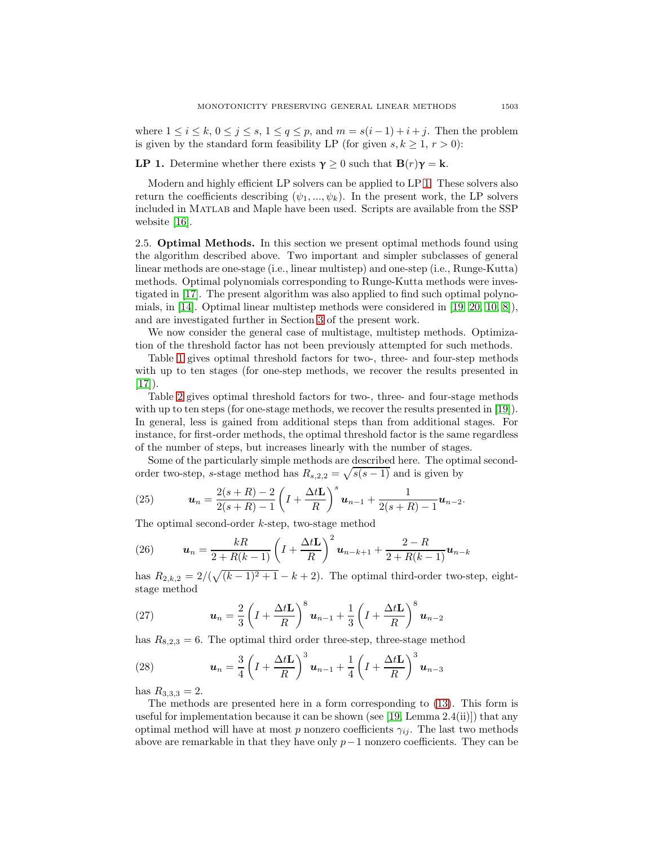<span id="page-6-0"></span>where  $1 \leq i \leq k$ ,  $0 \leq j \leq s$ ,  $1 \leq q \leq p$ , and  $m = s(i-1) + i + j$ . Then the problem is given by the standard form feasibility LP (for given  $s, k \geq 1, r > 0$ ):

**LP 1.** Determine whether there exists  $\gamma \geq 0$  such that  $\mathbf{B}(r)\gamma = \mathbf{k}$ .

Modern and highly efficient LP solvers can be applied to LP [1.](#page-6-0) These solvers also return the coefficients describing  $(\psi_1, ..., \psi_k)$ . In the present work, the LP solvers included in Matlab and Maple have been used. Scripts are available from the SSP website [\[16\]](#page-15-17).

2.5. **Optimal Methods.** In this section we present optimal methods found using the algorithm described above. Two important and simpler subclasses of general linear methods are one-stage (i.e., linear multistep) and one-step (i.e., Runge-Kutta) methods. Optimal polynomials corresponding to Runge-Kutta methods were investigated in [\[17\]](#page-15-4). The present algorithm was also applied to find such optimal polynomials, in [\[14\]](#page-15-1). Optimal linear multistep methods were considered in [\[19,](#page-15-5) [20,](#page-15-6) [10,](#page-15-12) [8\]](#page-15-3)), and are investigated further in Section [3](#page-7-0) of the present work.

We now consider the general case of multistage, multistep methods. Optimization of the threshold factor has not been previously attempted for such methods.

Table [1](#page-7-1) gives optimal threshold factors for two-, three- and four-step methods with up to ten stages (for one-step methods, we recover the results presented in  $[17]$ .

Table [2](#page-8-0) gives optimal threshold factors for two-, three- and four-stage methods with up to ten steps (for one-stage methods, we recover the results presented in [\[19\]](#page-15-5)). In general, less is gained from additional steps than from additional stages. For instance, for first-order methods, the optimal threshold factor is the same regardless of the number of steps, but increases linearly with the number of stages.

Some of the particularly simple methods are described here. The optimal secondorder two-step, s-stage method has  $R_{s,2,2} = \sqrt{s(s-1)}$  and is given by

(25) 
$$
\mathbf{u}_n = \frac{2(s+R)-2}{2(s+R)-1} \left( I + \frac{\Delta t \mathbf{L}}{R} \right)^s \mathbf{u}_{n-1} + \frac{1}{2(s+R)-1} \mathbf{u}_{n-2}.
$$

The optimal second-order k-step, two-stage method

(26) 
$$
\mathbf{u}_n = \frac{kR}{2 + R(k-1)} \left( I + \frac{\Delta t \mathbf{L}}{R} \right)^2 \mathbf{u}_{n-k+1} + \frac{2 - R}{2 + R(k-1)} \mathbf{u}_{n-k}
$$

has  $R_{2,k,2} = 2/(\sqrt{(k-1)^2+1} - k + 2)$ . The optimal third-order two-step, eightstage method

(27) 
$$
\boldsymbol{u}_n = \frac{2}{3} \left( I + \frac{\Delta t \mathbf{L}}{R} \right)^8 \boldsymbol{u}_{n-1} + \frac{1}{3} \left( I + \frac{\Delta t \mathbf{L}}{R} \right)^8 \boldsymbol{u}_{n-2}
$$

has  $R_{8,2,3} = 6$ . The optimal third order three-step, three-stage method

(28) 
$$
\boldsymbol{u}_n = \frac{3}{4} \left( I + \frac{\Delta t \mathbf{L}}{R} \right)^3 \boldsymbol{u}_{n-1} + \frac{1}{4} \left( I + \frac{\Delta t \mathbf{L}}{R} \right)^3 \boldsymbol{u}_{n-3}
$$

has  $R_{3,3,3} = 2$ .

The methods are presented here in a form corresponding to [\(13\)](#page-2-3). This form is useful for implementation because it can be shown (see [\[19,](#page-15-5) Lemma 2.4(ii)]) that any optimal method will have at most p nonzero coefficients  $\gamma_{ij}$ . The last two methods above are remarkable in that they have only  $p-1$  nonzero coefficients. They can be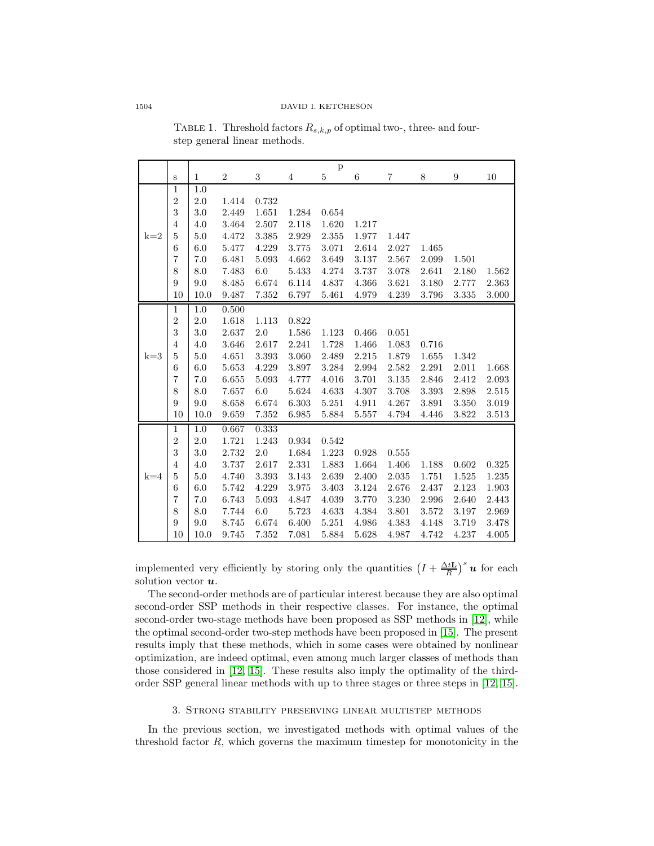<span id="page-7-1"></span>

|       |                |              |                |       |       | $\mathbf{p}$ |       |       |       |       |       |
|-------|----------------|--------------|----------------|-------|-------|--------------|-------|-------|-------|-------|-------|
|       | $\mathbf S$    | $\mathbf{1}$ | $\overline{2}$ | 3     | 4     | 5            | 6     | 7     | 8     | 9     | 10    |
|       | 1              | 1.0          |                |       |       |              |       |       |       |       |       |
|       | $\overline{2}$ | 2.0          | 1.414          | 0.732 |       |              |       |       |       |       |       |
|       | 3              | 3.0          | 2.449          | 1.651 | 1.284 | 0.654        |       |       |       |       |       |
|       | $\overline{4}$ | 4.0          | 3.464          | 2.507 | 2.118 | 1.620        | 1.217 |       |       |       |       |
| $k=2$ | 5              | 5.0          | 4.472          | 3.385 | 2.929 | 2.355        | 1.977 | 1.447 |       |       |       |
|       | 6              | 6.0          | 5.477          | 4.229 | 3.775 | 3.071        | 2.614 | 2.027 | 1.465 |       |       |
|       | 7              | 7.0          | 6.481          | 5.093 | 4.662 | 3.649        | 3.137 | 2.567 | 2.099 | 1.501 |       |
|       | 8              | 8.0          | 7.483          | 6.0   | 5.433 | 4.274        | 3.737 | 3.078 | 2.641 | 2.180 | 1.562 |
|       | 9              | 9.0          | 8.485          | 6.674 | 6.114 | 4.837        | 4.366 | 3.621 | 3.180 | 2.777 | 2.363 |
|       | 10             | 10.0         | 9.487          | 7.352 | 6.797 | 5.461        | 4.979 | 4.239 | 3.796 | 3.335 | 3.000 |
|       | 1              | 1.0          | 0.500          |       |       |              |       |       |       |       |       |
|       | $\overline{2}$ | 2.0          | 1.618          | 1.113 | 0.822 |              |       |       |       |       |       |
|       | 3              | 3.0          | 2.637          | 2.0   | 1.586 | 1.123        | 0.466 | 0.051 |       |       |       |
|       | $\overline{4}$ | 4.0          | 3.646          | 2.617 | 2.241 | 1.728        | 1.466 | 1.083 | 0.716 |       |       |
| $k=3$ | $\overline{5}$ | 5.0          | 4.651          | 3.393 | 3.060 | 2.489        | 2.215 | 1.879 | 1.655 | 1.342 |       |
|       | 6              | 6.0          | 5.653          | 4.229 | 3.897 | 3.284        | 2.994 | 2.582 | 2.291 | 2.011 | 1.668 |
|       | $\overline{7}$ | 7.0          | 6.655          | 5.093 | 4.777 | 4.016        | 3.701 | 3.135 | 2.846 | 2.412 | 2.093 |
|       | 8              | 8.0          | 7.657          | 6.0   | 5.624 | 4.633        | 4.307 | 3.708 | 3.393 | 2.898 | 2.515 |
|       | 9              | 9.0          | 8.658          | 6.674 | 6.303 | 5.251        | 4.911 | 4.267 | 3.891 | 3.350 | 3.019 |
|       | 10             | 10.0         | 9.659          | 7.352 | 6.985 | 5.884        | 5.557 | 4.794 | 4.446 | 3.822 | 3.513 |
|       | 1              | 1.0          | 0.667          | 0.333 |       |              |       |       |       |       |       |
|       | $\sqrt{2}$     | 2.0          | 1.721          | 1.243 | 0.934 | 0.542        |       |       |       |       |       |
|       | 3              | 3.0          | 2.732          | 2.0   | 1.684 | 1.223        | 0.928 | 0.555 |       |       |       |
|       | $\overline{4}$ | 4.0          | 3.737          | 2.617 | 2.331 | 1.883        | 1.664 | 1.406 | 1.188 | 0.602 | 0.325 |
| $k=4$ | 5              | 5.0          | 4.740          | 3.393 | 3.143 | 2.639        | 2.400 | 2.035 | 1.751 | 1.525 | 1.235 |
|       | 6              | 6.0          | 5.742          | 4.229 | 3.975 | 3.403        | 3.124 | 2.676 | 2.437 | 2.123 | 1.903 |
|       | $\overline{7}$ | 7.0          | 6.743          | 5.093 | 4.847 | 4.039        | 3.770 | 3.230 | 2.996 | 2.640 | 2.443 |
|       | 8              | 8.0          | 7.744          | 6.0   | 5.723 | 4.633        | 4.384 | 3.801 | 3.572 | 3.197 | 2.969 |
|       | 9              | 9.0          | 8.745          | 6.674 | 6.400 | 5.251        | 4.986 | 4.383 | 4.148 | 3.719 | 3.478 |
|       | 10             | 10.0         | 9.745          | 7.352 | 7.081 | 5.884        | 5.628 | 4.987 | 4.742 | 4.237 | 4.005 |

TABLE 1. Threshold factors  $R_{s,k,p}$  of optimal two-, three- and fourstep general linear methods.

implemented very efficiently by storing only the quantities  $\left(I + \frac{\Delta t \mathbf{L}}{R}\right)^s \boldsymbol{u}$  for each solution vector *u*.

The second-order methods are of particular interest because they are also optimal second-order SSP methods in their respective classes. For instance, the optimal second-order two-stage methods have been proposed as SSP methods in [\[12\]](#page-15-2), while the optimal second-order two-step methods have been proposed in [\[15\]](#page-15-18). The present results imply that these methods, which in some cases were obtained by nonlinear optimization, are indeed optimal, even among much larger classes of methods than those considered in [\[12,](#page-15-2) [15\]](#page-15-18). These results also imply the optimality of the thirdorder SSP general linear methods with up to three stages or three steps in [\[12,](#page-15-2) [15\]](#page-15-18).

### 3. Strong stability preserving linear multistep methods

<span id="page-7-0"></span>In the previous section, we investigated methods with optimal values of the threshold factor  $R$ , which governs the maximum timestep for monotonicity in the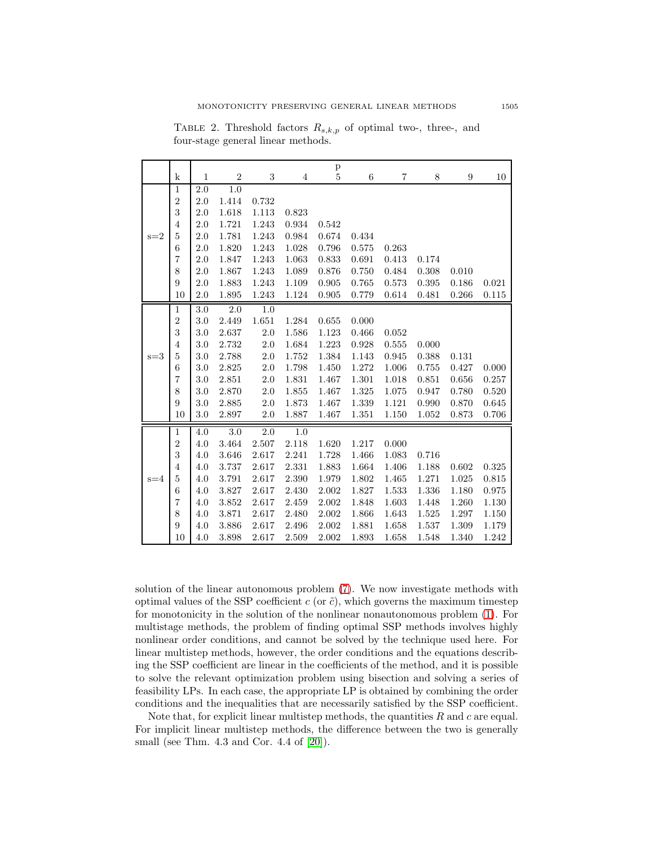|         |                |              |                |         |       | $\, {\bf p}$ |       |       |       |       |       |
|---------|----------------|--------------|----------------|---------|-------|--------------|-------|-------|-------|-------|-------|
|         | k              | $\mathbf{1}$ | $\overline{2}$ | $\,3$   | 4     | 5            | 6     | 7     | 8     | 9     | 10    |
|         | $\,1$          | $2.0\,$      | 1.0            |         |       |              |       |       |       |       |       |
|         | $\overline{2}$ | 2.0          | 1.414          | 0.732   |       |              |       |       |       |       |       |
|         | 3              | 2.0          | 1.618          | 1.113   | 0.823 |              |       |       |       |       |       |
|         | $\overline{4}$ | 2.0          | 1.721          | 1.243   | 0.934 | 0.542        |       |       |       |       |       |
| $s=2$   | 5              | $2.0\,$      | 1.781          | 1.243   | 0.984 | 0.674        | 0.434 |       |       |       |       |
|         | 6              | 2.0          | 1.820          | 1.243   | 1.028 | 0.796        | 0.575 | 0.263 |       |       |       |
|         | $\overline{7}$ | 2.0          | 1.847          | 1.243   | 1.063 | 0.833        | 0.691 | 0.413 | 0.174 |       |       |
|         | 8              | 2.0          | 1.867          | 1.243   | 1.089 | 0.876        | 0.750 | 0.484 | 0.308 | 0.010 |       |
|         | 9              | 2.0          | 1.883          | 1.243   | 1.109 | 0.905        | 0.765 | 0.573 | 0.395 | 0.186 | 0.021 |
|         | 10             | 2.0          | 1.895          | 1.243   | 1.124 | 0.905        | 0.779 | 0.614 | 0.481 | 0.266 | 0.115 |
|         | 1              | 3.0          | 2.0            | 1.0     |       |              |       |       |       |       |       |
|         | $\overline{2}$ | $3.0\,$      | 2.449          | 1.651   | 1.284 | 0.655        | 0.000 |       |       |       |       |
|         | 3              | 3.0          | 2.637          | 2.0     | 1.586 | 1.123        | 0.466 | 0.052 |       |       |       |
|         | 4              | 3.0          | 2.732          | 2.0     | 1.684 | 1.223        | 0.928 | 0.555 | 0.000 |       |       |
| $s = 3$ | 5              | 3.0          | 2.788          | 2.0     | 1.752 | 1.384        | 1.143 | 0.945 | 0.388 | 0.131 |       |
|         | 6              | $3.0\,$      | 2.825          | $2.0\,$ | 1.798 | 1.450        | 1.272 | 1.006 | 0.755 | 0.427 | 0.000 |
|         | 7              | $3.0\,$      | 2.851          | 2.0     | 1.831 | 1.467        | 1.301 | 1.018 | 0.851 | 0.656 | 0.257 |
|         | $\,8\,$        | 3.0          | 2.870          | 2.0     | 1.855 | 1.467        | 1.325 | 1.075 | 0.947 | 0.780 | 0.520 |
|         | 9              | 3.0          | 2.885          | 2.0     | 1.873 | 1.467        | 1.339 | 1.121 | 0.990 | 0.870 | 0.645 |
|         | 10             | 3.0          | 2.897          | 2.0     | 1.887 | 1.467        | 1.351 | 1.150 | 1.052 | 0.873 | 0.706 |
|         | 1              | 4.0          | 3.0            | 2.0     | 1.0   |              |       |       |       |       |       |
|         | $\overline{2}$ | 4.0          | 3.464          | 2.507   | 2.118 | 1.620        | 1.217 | 0.000 |       |       |       |
|         | 3              | 4.0          | 3.646          | 2.617   | 2.241 | 1.728        | 1.466 | 1.083 | 0.716 |       |       |
|         | $\overline{4}$ | 4.0          | 3.737          | 2.617   | 2.331 | 1.883        | 1.664 | 1.406 | 1.188 | 0.602 | 0.325 |
| $s = 4$ | 5              | 4.0          | 3.791          | 2.617   | 2.390 | 1.979        | 1.802 | 1.465 | 1.271 | 1.025 | 0.815 |
|         | 6              | 4.0          | 3.827          | 2.617   | 2.430 | 2.002        | 1.827 | 1.533 | 1.336 | 1.180 | 0.975 |
|         | 7              | 4.0          | 3.852          | 2.617   | 2.459 | 2.002        | 1.848 | 1.603 | 1.448 | 1.260 | 1.130 |
|         | 8              | 4.0          | 3.871          | 2.617   | 2.480 | 2.002        | 1.866 | 1.643 | 1.525 | 1.297 | 1.150 |
|         | 9              | 4.0          | 3.886          | 2.617   | 2.496 | 2.002        | 1.881 | 1.658 | 1.537 | 1.309 | 1.179 |
|         | 10             | 4.0          | 3.898          | 2.617   | 2.509 | 2.002        | 1.893 | 1.658 | 1.548 | 1.340 | 1.242 |

<span id="page-8-0"></span>TABLE 2. Threshold factors  $R_{s,k,p}$  of optimal two-, three-, and four-stage general linear methods.

solution of the linear autonomous problem [\(7\)](#page-1-2). We now investigate methods with optimal values of the SSP coefficient  $c$  (or  $\tilde{c}$ ), which governs the maximum timestep for monotonicity in the solution of the nonlinear nonautonomous problem [\(1\)](#page-0-3). For multistage methods, the problem of finding optimal SSP methods involves highly nonlinear order conditions, and cannot be solved by the technique used here. For linear multistep methods, however, the order conditions and the equations describing the SSP coefficient are linear in the coefficients of the method, and it is possible to solve the relevant optimization problem using bisection and solving a series of feasibility LPs. In each case, the appropriate LP is obtained by combining the order conditions and the inequalities that are necessarily satisfied by the SSP coefficient.

Note that, for explicit linear multistep methods, the quantities  $R$  and  $c$  are equal. For implicit linear multistep methods, the difference between the two is generally small (see Thm. 4.3 and Cor. 4.4 of [\[20\]](#page-15-6)).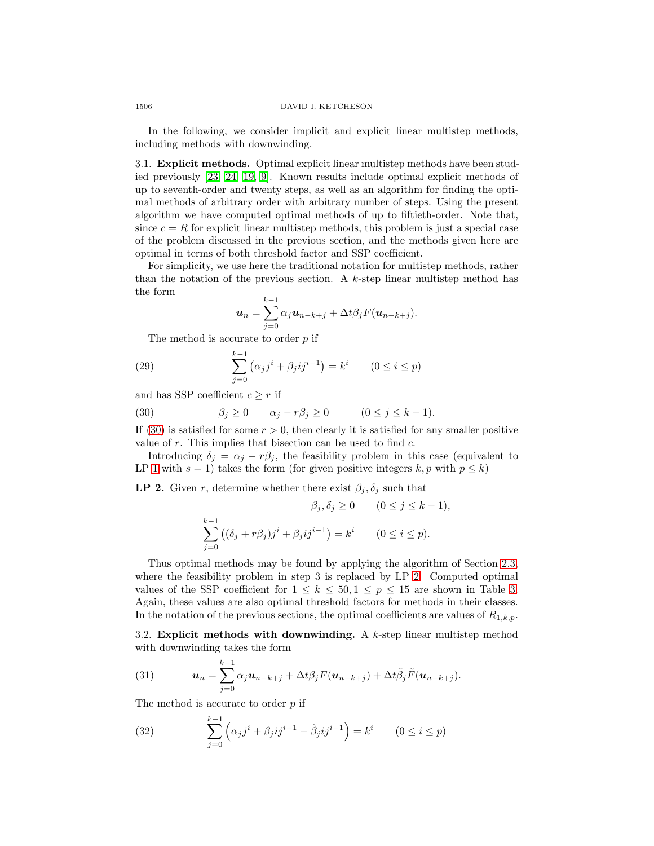In the following, we consider implicit and explicit linear multistep methods, including methods with downwinding.

3.1. **Explicit methods.** Optimal explicit linear multistep methods have been studied previously [\[23,](#page-16-3) [24,](#page-16-4) [19,](#page-15-5) [9\]](#page-15-19). Known results include optimal explicit methods of up to seventh-order and twenty steps, as well as an algorithm for finding the optimal methods of arbitrary order with arbitrary number of steps. Using the present algorithm we have computed optimal methods of up to fiftieth-order. Note that, since  $c = R$  for explicit linear multistep methods, this problem is just a special case of the problem discussed in the previous section, and the methods given here are optimal in terms of both threshold factor and SSP coefficient.

For simplicity, we use here the traditional notation for multistep methods, rather than the notation of the previous section. A  $k$ -step linear multistep method has the form

$$
\boldsymbol{u}_n = \sum_{j=0}^{k-1} \alpha_j \boldsymbol{u}_{n-k+j} + \Delta t \beta_j F(\boldsymbol{u}_{n-k+j}).
$$

The method is accurate to order p if

(29) 
$$
\sum_{j=0}^{k-1} (\alpha_j j^i + \beta_j i j^{i-1}) = k^i \qquad (0 \le i \le p)
$$

<span id="page-9-0"></span>and has SSP coefficient  $c \geq r$  if

(30) 
$$
\beta_j \ge 0 \qquad \alpha_j - r\beta_j \ge 0 \qquad (0 \le j \le k-1).
$$

If [\(30\)](#page-9-0) is satisfied for some  $r > 0$ , then clearly it is satisfied for any smaller positive value of  $r$ . This implies that bisection can be used to find  $c$ .

<span id="page-9-1"></span>Introducing  $\delta_j = \alpha_j - r\beta_j$ , the feasibility problem in this case (equivalent to LP [1](#page-6-0) with  $s = 1$ ) takes the form (for given positive integers k, p with  $p \le k$ )

**LP 2.** Given r, determine whether there exist  $\beta_j$ ,  $\delta_j$  such that

$$
\beta_j, \delta_j \ge 0 \qquad (0 \le j \le k-1),
$$
  

$$
\sum_{j=0}^{k-1} ((\delta_j + r\beta_j)j^i + \beta_j ij^{i-1}) = k^i \qquad (0 \le i \le p).
$$

Thus optimal methods may be found by applying the algorithm of Section [2.3,](#page-4-3) where the feasibility problem in step 3 is replaced by LP [2.](#page-9-1) Computed optimal values of the SSP coefficient for  $1 \leq k \leq 50, 1 \leq p \leq 15$  are shown in Table [3.](#page-10-0) Again, these values are also optimal threshold factors for methods in their classes. In the notation of the previous sections, the optimal coefficients are values of  $R_{1,k,p}$ .

3.2. **Explicit methods with downwinding.** A k-step linear multistep method with downwinding takes the form

<span id="page-9-2"></span>(31) 
$$
\mathbf{u}_n = \sum_{j=0}^{k-1} \alpha_j \mathbf{u}_{n-k+j} + \Delta t \beta_j F(\mathbf{u}_{n-k+j}) + \Delta t \tilde{\beta}_j \tilde{F}(\mathbf{u}_{n-k+j}).
$$

<span id="page-9-3"></span>The method is accurate to order p if k

(32) 
$$
\sum_{j=0}^{k-1} (\alpha_j j^i + \beta_j i j^{i-1} - \tilde{\beta}_j i j^{i-1}) = k^i \qquad (0 \le i \le p)
$$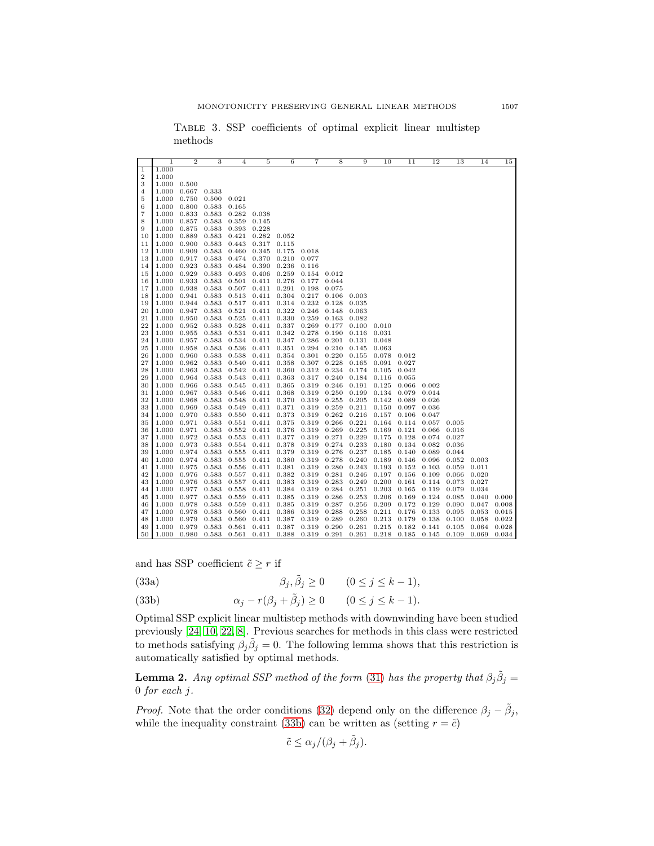|                | $\,1$          | $\overline{2}$ | 3              | $\overline{4}$ | 5              | 6              | 7              | 8              | 9                        | 10                                      | 11             | 12             | 13             | 14             | 15             |
|----------------|----------------|----------------|----------------|----------------|----------------|----------------|----------------|----------------|--------------------------|-----------------------------------------|----------------|----------------|----------------|----------------|----------------|
| $\overline{1}$ | 1.000          |                |                |                |                |                |                |                |                          |                                         |                |                |                |                |                |
| $\overline{2}$ | 1.000          |                |                |                |                |                |                |                |                          |                                         |                |                |                |                |                |
| 3              | 1.000          | 0.500          |                |                |                |                |                |                |                          |                                         |                |                |                |                |                |
| 4              | 1.000          | 0.667          | 0.333          |                |                |                |                |                |                          |                                         |                |                |                |                |                |
| 5              | 1.000          | 0.750          | 0.500          | 0.021          |                |                |                |                |                          |                                         |                |                |                |                |                |
| 6              | 1.000          | 0.800          | 0.583          | 0.165          |                |                |                |                |                          |                                         |                |                |                |                |                |
| 7              | 1.000          | 0.833          | 0.583          | 0.282          | 0.038          |                |                |                |                          |                                         |                |                |                |                |                |
| 8              | 1.000          | 0.857          | 0.583          | 0.359          | 0.145          |                |                |                |                          |                                         |                |                |                |                |                |
| 9              | 1.000          | 0.875          | 0.583          | 0.393          | 0.228          |                |                |                |                          |                                         |                |                |                |                |                |
| 10             | 1.000          | 0.889          | 0.583          | 0.421          | 0.282          | 0.052          |                |                |                          |                                         |                |                |                |                |                |
| 11             | 1.000          | 0.900          | 0.583          | 0.443          | 0.317          | 0.115          |                |                |                          |                                         |                |                |                |                |                |
| 12             | 1.000          | 0.909          | 0.583          | 0.460          | 0.345          | 0.175          | 0.018          |                |                          |                                         |                |                |                |                |                |
| 13             | 1.000          | 0.917          | 0.583          | 0.474          | 0.370          | 0.210          | 0.077          |                |                          |                                         |                |                |                |                |                |
| 14             | 1.000          | 0.923          | 0.583          | 0.484          | 0.390          | 0.236          | 0.116          |                |                          |                                         |                |                |                |                |                |
| 15             | 1.000          | 0.929          | 0.583          | 0.493          | 0.406          | 0.259          | 0.154          | 0.012          |                          |                                         |                |                |                |                |                |
| 16             | 1.000          | 0.933          | 0.583          | 0.501          | 0.411          | 0.276          | 0.177          | 0.044          |                          |                                         |                |                |                |                |                |
| 17             | 1.000          | 0.938          | 0.583          | 0.507          | 0.411          | 0.291          | 0.198          | 0.075          |                          |                                         |                |                |                |                |                |
| 18             | 1.000          | 0.941          | 0.583          | 0.513          | 0.411          | 0.304          | 0.217          | 0.106          | 0.003                    |                                         |                |                |                |                |                |
| 19             | 1.000          | 0.944          | 0.583          | 0.517          | 0.411          | 0.314          | 0.232          | 0.128          | 0.035                    |                                         |                |                |                |                |                |
| 20             | 1.000          | 0.947          | 0.583 0.521    |                | 0.411          | 0.322          | 0.246          | 0.148          | 0.063                    |                                         |                |                |                |                |                |
| 21             | 1.000          | 0.950          | 0.583          | 0.525          | 0.411          | 0.330          | 0.259          | 0.163          | 0.082                    |                                         |                |                |                |                |                |
| 22             | 1.000          | 0.952          | 0.583          | 0.528          | 0.411          | 0.337          | 0.269          | 0.177          | 0.100                    | 0.010                                   |                |                |                |                |                |
| 23             | 1.000          | 0.955          | 0.583          | 0.531          | 0.411          | 0.342          | 0.278          | 0.190          | 0.116                    | 0.031                                   |                |                |                |                |                |
| 24             | 1.000          | 0.957          | 0.583          | 0.534          | 0.411          | 0.347          | 0.286          | 0.201          | 0.131                    | 0.048                                   |                |                |                |                |                |
| 25             | 1.000          | 0.958          | 0.583          | 0.536          | 0.411          | 0.351          | 0.294          | 0.210          | 0.145                    | 0.063                                   |                |                |                |                |                |
| 26             | 1.000          | 0.960          | 0.583          | 0.538          | 0.411          | 0.354          | 0.301          | 0.220          | 0.155                    | 0.078                                   | 0.012          |                |                |                |                |
| 27             | 1.000          | 0.962          | 0.583          | 0.540          | 0.411          | 0.358          | 0.307          | 0.228          | 0.165                    | 0.091                                   | 0.027          |                |                |                |                |
| 28             | 1.000          | 0.963          | 0.583          | 0.542          | 0.411          | 0.360          | 0.312          | 0.234          | 0.174                    | 0.105                                   | 0.042          |                |                |                |                |
| 29             | 1.000          | 0.964          | 0.583          | 0.543          | 0.411 0.363    |                | 0.317          | 0.240          | 0.184                    | 0.116                                   | 0.055          |                |                |                |                |
| 30             | 1.000          | 0.966          | 0.583          | 0.545          | 0.411          | 0.365          | 0.319          | 0.246          | 0.191                    | 0.125                                   | 0.066          | 0.002          |                |                |                |
| 31             | 1.000          | 0.967          | 0.583          | 0.546          | 0.411 0.368    |                | 0.319          | 0.250          | 0.199                    | 0.134                                   | 0.079          | 0.014          |                |                |                |
| 32             | 1.000          | 0.968          | 0.583          | 0.548          | 0.411          | 0.370          | 0.319          | 0.255          | 0.205                    | 0.142                                   | 0.089          | 0.026          |                |                |                |
| 33             | 1.000          | 0.969          | 0.583          | 0.549          | 0.411          | 0.371          | 0.319          | 0.259          | 0.211                    | 0.150                                   | 0.097          | 0.036          |                |                |                |
| 34             | 1.000          | 0.970          | 0.583          | 0.550          | 0.411          | 0.373          | 0.319          | 0.262          | 0.216                    | 0.157                                   | 0.106          | 0.047          |                |                |                |
| 35             | 1.000          | 0.971          | 0.583          | 0.551          | 0.411          | 0.375          | 0.319          | 0.266          | 0.221                    | 0.164                                   | 0.114          | 0.057          | 0.005          |                |                |
| 36             | 1.000          | 0.971          | 0.583          | 0.552          | 0.411          | 0.376          | 0.319          | 0.269          | 0.225                    | 0.169                                   | 0.121          | 0.066          | 0.016          |                |                |
| 37             | 1.000          | 0.972          | 0.583          | 0.553          | 0.411          | 0.377          | 0.319          | 0.271          | 0.229                    | 0.175                                   | 0.128          | 0.074          | 0.027          |                |                |
| 38             | 1.000          | 0.973          | 0.583          | 0.554          | 0.411          | 0.378          | 0.319          | 0.274          | 0.233                    | 0.180                                   | 0.134          | 0.082          | 0.036          |                |                |
| 39             | 1.000          | 0.974          | 0.583          | 0.555          | 0.411          | 0.379          | 0.319          | 0.276          | 0.237                    | 0.185                                   | 0.140          | 0.089          | 0.044          |                |                |
| 40             | 1.000          | 0.974          | 0.583          | 0.555          | 0.411          | 0.380          | 0.319          | 0.278          | 0.240                    | 0.189                                   | 0.146          | 0.096          | 0.052          | 0.003          |                |
| 41             | 1.000          | 0.975          | 0.583          | 0.556          | 0.411          | 0.381          | 0.319          | 0.280          | 0.243                    | 0.193                                   | 0.152          | 0.103          | 0.059          | 0.011          |                |
| 42             | 1.000          | 0.976          | 0.583          | 0.557          | 0.411          | 0.382          | 0.319          | 0.281          | 0.246                    | 0.197                                   | 0.156          | 0.109          | 0.066          | 0.020          |                |
| 43             | 1.000          | 0.976          | 0.583          | 0.557          | 0.411          | 0.383          | 0.319          | 0.283          | 0.249                    | 0.200                                   | 0.161          | 0.114          | 0.073          | 0.027          |                |
| 44             | 1.000          | 0.977          | 0.583          | 0.558          | 0.411          | 0.384          | 0.319          | 0.284          | 0.251                    | 0.203                                   | 0.165          | 0.119          | 0.079          | 0.034          |                |
| 45             | 1.000          | 0.977          | 0.583          | 0.559          | 0.411          | 0.385          | 0.319          | 0.286          | 0.253                    | 0.206                                   | 0.169          | 0.124          | 0.085          | 0.040          | 0.000          |
| 46             | 1.000          | 0.978          | 0.583          | 0.559          | 0.411          | 0.385          | 0.319          | 0.287          | 0.256                    | 0.209                                   | 0.172          | 0.129          | 0.090          | 0.047          | 0.008          |
| 47             | 1.000          | 0.978          | 0.583          | 0.560          | 0.411          | 0.386<br>0.387 | 0.319          | 0.288          | 0.258                    | 0.211                                   | 0.176<br>0.179 | 0.133          | 0.095          | 0.053          | 0.015          |
| 48<br>49       | 1.000<br>1.000 | 0.979<br>0.979 | 0.583<br>0.583 | 0.560<br>0.561 | 0.411<br>0.411 | 0.387          | 0.319<br>0.319 | 0.289<br>0.290 | 0.260<br>$0.261$ $0.215$ | 0.213                                   | 0.182          | 0.138<br>0.141 | 0.100<br>0.105 | 0.058<br>0.064 | 0.022<br>0.028 |
| 50             | 1.000          | 0.980          | 0.583          | 0.561          | 0.411          | 0.388 0.319    |                |                |                          | $0.291$ $0.261$ $0.218$ $0.185$ $0.145$ |                |                | 0.109          | 0.069          | 0.034          |
|                |                |                |                |                |                |                |                |                |                          |                                         |                |                |                |                |                |

<span id="page-10-0"></span>Table 3. SSP coefficients of optimal explicit linear multistep methods

<span id="page-10-2"></span>and has SSP coefficient  $\tilde{c}\geq r$  if

- (33a)  $\beta_j, \tilde{\beta}_j \ge 0 \qquad (0 \le j \le k 1),$
- <span id="page-10-1"></span>(33b)  $\alpha_j - r(\beta_j + \tilde{\beta}_j) \ge 0$   $(0 \le j \le k - 1).$

Optimal SSP explicit linear multistep methods with downwinding have been studied previously [\[24,](#page-16-4) [10,](#page-15-12) [22,](#page-16-5) [8\]](#page-15-3). Previous searches for methods in this class were restricted to methods satisfying  $\beta_j \tilde{\beta}_j = 0$ . The following lemma shows that this restriction is automatically satisfied by optimal methods.

<span id="page-10-3"></span>**Lemma 2.** Any optimal SSP method of the form [\(31\)](#page-9-2) has the property that  $\beta_j \tilde{\beta}_j =$ for each j.

*Proof.* Note that the order conditions [\(32\)](#page-9-3) depend only on the difference  $\beta_j - \tilde{\beta}_j$ , while the inequality constraint [\(33b\)](#page-10-1) can be written as (setting  $r = \tilde{c}$ )

$$
\tilde{c} \le \alpha_j / (\beta_j + \tilde{\beta}_j).
$$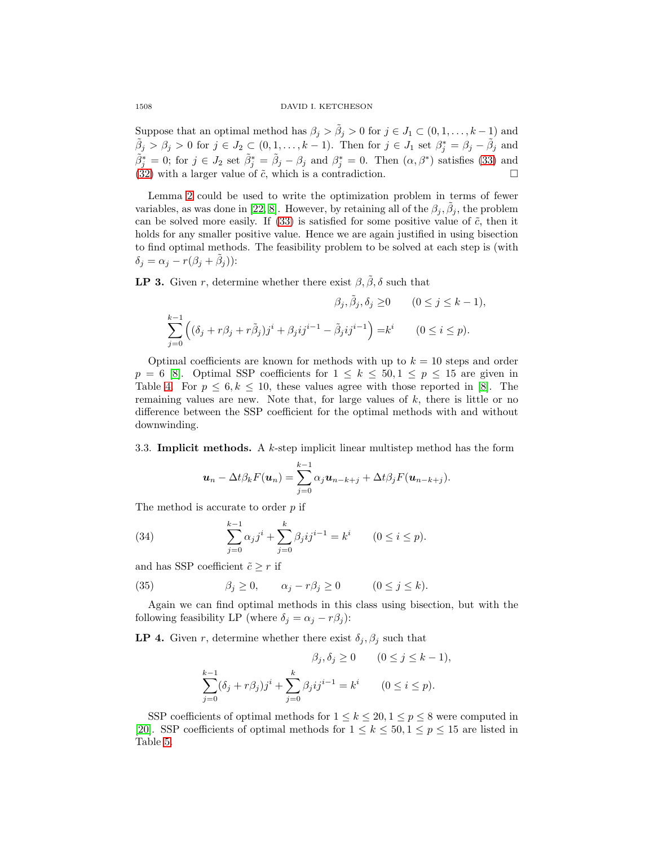Suppose that an optimal method has  $\beta_j > \tilde{\beta}_j > 0$  for  $j \in J_1 \subset (0, 1, \ldots, k-1)$  and  $\tilde{\beta}_j > \beta_j > 0$  for  $j \in J_2 \subset (0, 1, \ldots, k-1)$ . Then for  $j \in J_1$  set  $\beta_j^* = \beta_j - \tilde{\beta}_j$  and  $\tilde{\beta}_j^* = 0$ ; for  $j \in J_2$  set  $\tilde{\beta}_j^* = \tilde{\beta}_j - \beta_j$  and  $\beta_j^* = 0$ . Then  $(\alpha, \beta^*)$  satisfies [\(33\)](#page-10-2) and [\(32\)](#page-9-3) with a larger value of  $\tilde{c}$ , which is a contradiction.

Lemma [2](#page-10-3) could be used to write the optimization problem in terms of fewer variables, as was done in [\[22,](#page-16-5) [8\]](#page-15-3). However, by retaining all of the  $\beta_j$ ,  $\beta_j$ , the problem can be solved more easily. If  $(33)$  is satisfied for some positive value of  $\tilde{c}$ , then it holds for any smaller positive value. Hence we are again justified in using bisection to find optimal methods. The feasibility problem to be solved at each step is (with  $\delta_j = \alpha_j - r(\beta_j + \beta_j))$ :

**LP 3.** Given r, determine whether there exist  $\beta$ ,  $\tilde{\beta}$ ,  $\delta$  such that

$$
\beta_j, \tilde{\beta}_j, \delta_j \ge 0 \qquad (0 \le j \le k - 1),
$$
  

$$
\sum_{j=0}^{k-1} ((\delta_j + r\beta_j + r\tilde{\beta}_j)j^i + \beta_j ij^{i-1} - \tilde{\beta}_j ij^{i-1}) = k^i \qquad (0 \le i \le p).
$$

Optimal coefficients are known for methods with up to  $k = 10$  steps and order  $p = 6$  [\[8\]](#page-15-3). Optimal SSP coefficients for  $1 \leq k \leq 50, 1 \leq p \leq 15$  are given in Table [4.](#page-12-0) For  $p \leq 6, k \leq 10$ , these values agree with those reported in [\[8\]](#page-15-3). The remaining values are new. Note that, for large values of  $k$ , there is little or no difference between the SSP coefficient for the optimal methods with and without downwinding.

3.3. **Implicit methods.** A k-step implicit linear multistep method has the form

$$
\boldsymbol{u}_n - \Delta t \beta_k F(\boldsymbol{u}_n) = \sum_{j=0}^{k-1} \alpha_j \boldsymbol{u}_{n-k+j} + \Delta t \beta_j F(\boldsymbol{u}_{n-k+j}).
$$

The method is accurate to order p if

(34) 
$$
\sum_{j=0}^{k-1} \alpha_j j^i + \sum_{j=0}^k \beta_j i j^{i-1} = k^i \qquad (0 \le i \le p).
$$

and has SSP coefficient  $\tilde{c} \geq r$  if

(35) 
$$
\beta_j \geq 0, \qquad \alpha_j - r\beta_j \geq 0 \qquad (0 \leq j \leq k).
$$

Again we can find optimal methods in this class using bisection, but with the following feasibility LP (where  $\delta_i = \alpha_i - r\beta_i$ ):

**LP 4.** Given r, determine whether there exist  $\delta_j$ ,  $\beta_j$  such that

$$
\beta_j, \delta_j \ge 0 \qquad (0 \le j \le k-1),
$$
  

$$
\sum_{j=0}^{k-1} (\delta_j + r\beta_j) j^i + \sum_{j=0}^k \beta_j i j^{i-1} = k^i \qquad (0 \le i \le p).
$$

SSP coefficients of optimal methods for  $1 \leq k \leq 20, 1 \leq p \leq 8$  were computed in [\[20\]](#page-15-6). SSP coefficients of optimal methods for  $1 \leq k \leq 50, 1 \leq p \leq 15$  are listed in Table [5.](#page-13-0)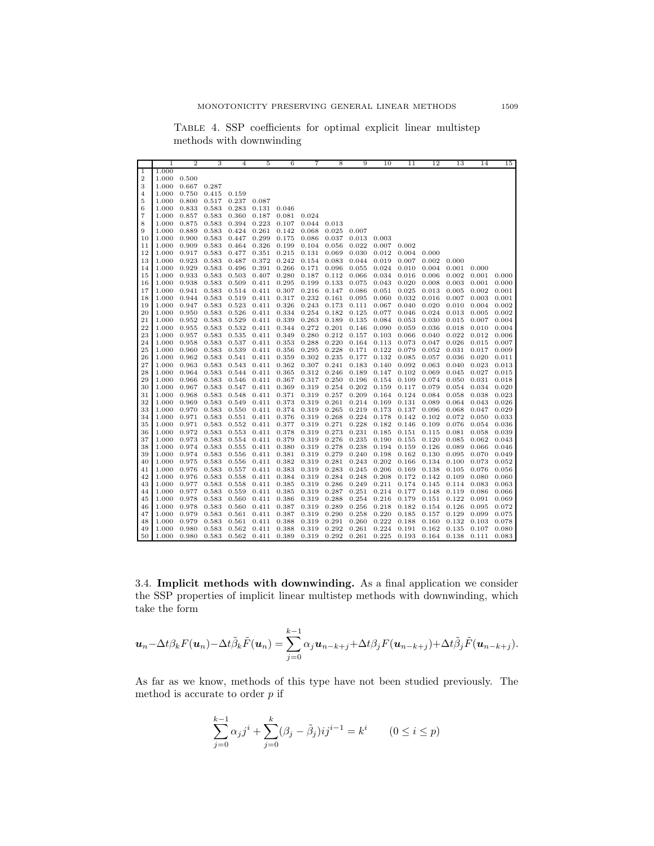<span id="page-12-0"></span>Table 4. SSP coefficients for optimal explicit linear multistep methods with downwinding

|                | $\mathbf{1}$ | $\overline{2}$ | 3     | $\overline{4}$ | 5     | 6     | $\overline{7}$ | 8     | 9     | 10    | 11    | 12    | 13              | 14    | 15    |
|----------------|--------------|----------------|-------|----------------|-------|-------|----------------|-------|-------|-------|-------|-------|-----------------|-------|-------|
| 1              | 1.000        |                |       |                |       |       |                |       |       |       |       |       |                 |       |       |
| $\overline{2}$ | 1.000        | 0.500          |       |                |       |       |                |       |       |       |       |       |                 |       |       |
| 3              | 1.000        | 0.667          | 0.287 |                |       |       |                |       |       |       |       |       |                 |       |       |
| 4              | 1.000        | 0.750          | 0.415 | 0.159          |       |       |                |       |       |       |       |       |                 |       |       |
| 5              | 1.000        | 0.800          | 0.517 | 0.237          | 0.087 |       |                |       |       |       |       |       |                 |       |       |
| 6              | 1.000        | 0.833          | 0.583 | 0.283          | 0.131 | 0.046 |                |       |       |       |       |       |                 |       |       |
| 7              | 1.000        | 0.857          | 0.583 | 0.360          | 0.187 | 0.081 | 0.024          |       |       |       |       |       |                 |       |       |
| 8              | 1.000        | 0.875          | 0.583 | 0.394          | 0.223 | 0.107 | 0.044          | 0.013 |       |       |       |       |                 |       |       |
| 9              | 1.000        | 0.889          | 0.583 | 0.424          | 0.261 | 0.142 | 0.068          | 0.025 | 0.007 |       |       |       |                 |       |       |
| 10             | 1.000        | 0.900          | 0.583 | 0.447          | 0.299 | 0.175 | 0.086          | 0.037 | 0.013 | 0.003 |       |       |                 |       |       |
| 11             | 1.000        | 0.909          | 0.583 | 0.464          | 0.326 | 0.199 | 0.104          | 0.056 | 0.022 | 0.007 | 0.002 |       |                 |       |       |
| 12             | 1.000        | 0.917          | 0.583 | 0.477          | 0.351 | 0.215 | 0.131          | 0.069 | 0.030 | 0.012 | 0.004 | 0.000 |                 |       |       |
| 13             | 1.000        | 0.923          | 0.583 | 0.487          | 0.372 | 0.242 | 0.154          | 0.083 | 0.044 | 0.019 | 0.007 | 0.002 | 0.000           |       |       |
| 14             | 1.000        | 0.929          | 0.583 | 0.496          | 0.391 | 0.266 | 0.171          | 0.096 | 0.055 | 0.024 | 0.010 | 0.004 | 0.001           | 0.000 |       |
| 15             | 1.000        | 0.933          | 0.583 | 0.503          | 0.407 | 0.280 | 0.187          | 0.112 | 0.066 | 0.034 | 0.016 | 0.006 | 0.002           | 0.001 | 0.000 |
| 16             | 1.000        | 0.938          | 0.583 | 0.509          | 0.411 | 0.295 | 0.199          | 0.133 | 0.075 | 0.043 | 0.020 | 0.008 | 0.003           | 0.001 | 0.000 |
| 17             | 1.000        | 0.941          | 0.583 | 0.514          | 0.411 | 0.307 | 0.216          | 0.147 | 0.086 | 0.051 | 0.025 | 0.013 | 0.005           | 0.002 | 0.001 |
| 18             | 1.000        | 0.944          | 0.583 | 0.519          | 0.411 | 0.317 | 0.232          | 0.161 | 0.095 | 0.060 | 0.032 | 0.016 | 0.007           | 0.003 | 0.001 |
| 19             | 1.000        | 0.947          | 0.583 | 0.523          | 0.411 | 0.326 | 0.243          | 0.173 | 0.111 | 0.067 | 0.040 | 0.020 | 0.010           | 0.004 | 0.002 |
| 20             | 1.000        | 0.950          | 0.583 | 0.526          | 0.411 | 0.334 | 0.254          | 0.182 | 0.125 | 0.077 | 0.046 | 0.024 | 0.013           | 0.005 | 0.002 |
| 21             | 1.000        | 0.952          | 0.583 | 0.529          | 0.411 | 0.339 | 0.263          | 0.189 | 0.135 | 0.084 | 0.053 | 0.030 | 0.015           | 0.007 | 0.004 |
| 22             | 1.000        | 0.955          | 0.583 | 0.532          | 0.411 | 0.344 | 0.272          | 0.201 | 0.146 | 0.090 | 0.059 | 0.036 | 0.018           | 0.010 | 0.004 |
| 23             | 1.000        | 0.957          | 0.583 | 0.535          | 0.411 | 0.349 | 0.280          | 0.212 | 0.157 | 0.103 | 0.066 | 0.040 | 0.022           | 0.012 | 0.006 |
| 24             | 1.000        | 0.958          | 0.583 | 0.537          | 0.411 | 0.353 | 0.288          | 0.220 | 0.164 | 0.113 | 0.073 | 0.047 | 0.026           | 0.015 | 0.007 |
| 25             | 1.000        | 0.960          | 0.583 | 0.539          | 0.411 | 0.356 | 0.295          | 0.228 | 0.171 | 0.122 | 0.079 | 0.052 | 0.031           | 0.017 | 0.009 |
| 26             | 1.000        | 0.962          | 0.583 | 0.541          | 0.411 | 0.359 | 0.302          | 0.235 | 0.177 | 0.132 | 0.085 | 0.057 | 0.036           | 0.020 | 0.011 |
| 27             | 1.000        | 0.963          | 0.583 | 0.543          | 0.411 | 0.362 | 0.307          | 0.241 | 0.183 | 0.140 | 0.092 | 0.063 | 0.040           | 0.023 | 0.013 |
| 28             | 1.000        | 0.964          | 0.583 | 0.544          | 0.411 | 0.365 | 0.312          | 0.246 | 0.189 | 0.147 | 0.102 | 0.069 | 0.045           | 0.027 | 0.015 |
| 29             | 1.000        | 0.966          | 0.583 | 0.546          | 0.411 | 0.367 | 0.317          | 0.250 | 0.196 | 0.154 | 0.109 | 0.074 | 0.050           | 0.031 | 0.018 |
| 30             | 1.000        | 0.967          | 0.583 | 0.547          | 0.411 | 0.369 | 0.319          | 0.254 | 0.202 | 0.159 | 0.117 | 0.079 | 0.054           | 0.034 | 0.020 |
| 31             | 1.000        | 0.968          | 0.583 | 0.548          | 0.411 | 0.371 | 0.319          | 0.257 | 0.209 | 0.164 | 0.124 | 0.084 | 0.058           | 0.038 | 0.023 |
| 32             | 1.000        | 0.969          | 0.583 | 0.549          | 0.411 | 0.373 | 0.319          | 0.261 | 0.214 | 0.169 | 0.131 | 0.089 | 0.064           | 0.043 | 0.026 |
| 33             | 1.000        | 0.970          | 0.583 | 0.550          | 0.411 | 0.374 | 0.319          | 0.265 | 0.219 | 0.173 | 0.137 | 0.096 | 0.068           | 0.047 | 0.029 |
| 34             | 1.000        | 0.971          | 0.583 | 0.551          | 0.411 | 0.376 | 0.319          | 0.268 | 0.224 | 0.178 | 0.142 | 0.102 | 0.072           | 0.050 | 0.033 |
| 35             | 1.000        | 0.971          | 0.583 | 0.552          | 0.411 | 0.377 | 0.319          | 0.271 | 0.228 | 0.182 | 0.146 | 0.109 | 0.076           | 0.054 | 0.036 |
| 36             | 1.000        | 0.972          | 0.583 | 0.553          | 0.411 | 0.378 | 0.319          | 0.273 | 0.231 | 0.185 | 0.151 | 0.115 | 0.081           | 0.058 | 0.039 |
| 37             | 1.000        | 0.973          | 0.583 | 0.554          | 0.411 | 0.379 | 0.319          | 0.276 | 0.235 | 0.190 | 0.155 | 0.120 | 0.085           | 0.062 | 0.043 |
| 38             | 1.000        | 0.974          | 0.583 | 0.555          | 0.411 | 0.380 | 0.319          | 0.278 | 0.238 | 0.194 | 0.159 | 0.126 | 0.089           | 0.066 | 0.046 |
| 39             | 1.000        | 0.974          | 0.583 | 0.556          | 0.411 | 0.381 | 0.319          | 0.279 | 0.240 | 0.198 | 0.162 | 0.130 | 0.095           | 0.070 | 0.049 |
| 40             | 1.000        | 0.975          | 0.583 | 0.556          | 0.411 | 0.382 | 0.319          | 0.281 | 0.243 | 0.202 | 0.166 | 0.134 | 0.100           | 0.073 | 0.052 |
| 41             | 1.000        | 0.976          | 0.583 | 0.557          | 0.411 | 0.383 | 0.319          | 0.283 | 0.245 | 0.206 | 0.169 | 0.138 | 0.105           | 0.076 | 0.056 |
| 42             | 1.000        | 0.976          | 0.583 | 0.558          | 0.411 | 0.384 | 0.319          | 0.284 | 0.248 | 0.208 | 0.172 | 0.142 | 0.109           | 0.080 | 0.060 |
| 43             | 1.000        | 0.977          | 0.583 | 0.558          | 0.411 | 0.385 | 0.319          | 0.286 | 0.249 | 0.211 | 0.174 | 0.145 | 0.114           | 0.083 | 0.063 |
| 44             | 1.000        | 0.977          | 0.583 | 0.559          | 0.411 | 0.385 | 0.319          | 0.287 | 0.251 | 0.214 | 0.177 | 0.148 | 0.119           | 0.086 | 0.066 |
| 45             | 1.000        | 0.978          | 0.583 | 0.560          | 0.411 | 0.386 | 0.319          | 0.288 | 0.254 | 0.216 | 0.179 | 0.151 | 0.122           | 0.091 | 0.069 |
| 46             | 1.000        | 0.978          | 0.583 | 0.560          | 0.411 | 0.387 | 0.319          | 0.289 | 0.256 | 0.218 | 0.182 | 0.154 | 0.126           | 0.095 | 0.072 |
| 47             | 1.000        | 0.979          | 0.583 | 0.561          | 0.411 | 0.387 | 0.319          | 0.290 | 0.258 | 0.220 | 0.185 | 0.157 | 0.129           | 0.099 | 0.075 |
| 48             | 1.000        | 0.979          | 0.583 | 0.561          | 0.411 | 0.388 | 0.319          | 0.291 | 0.260 | 0.222 | 0.188 | 0.160 | 0.132           | 0.103 | 0.078 |
| 49             | 1.000        | 0.980          | 0.583 | 0.562          | 0.411 | 0.388 | 0.319          | 0.292 | 0.261 | 0.224 | 0.191 | 0.162 | 0.135           | 0.107 | 0.080 |
| 50             | 1.000        | 0.980          | 0.583 | 0.562          | 0.411 | 0.389 | 0.319          | 0.292 | 0.261 | 0.225 | 0.193 |       | $0.164$ $0.138$ | 0.111 | 0.083 |

3.4. **Implicit methods with downwinding.** As a final application we consider the SSP properties of implicit linear multistep methods with downwinding, which take the form

$$
\mathbf{u}_n - \Delta t \beta_k F(\mathbf{u}_n) - \Delta t \tilde{\beta}_k \tilde{F}(\mathbf{u}_n) = \sum_{j=0}^{k-1} \alpha_j \mathbf{u}_{n-k+j} + \Delta t \beta_j F(\mathbf{u}_{n-k+j}) + \Delta t \tilde{\beta}_j \tilde{F}(\mathbf{u}_{n-k+j}).
$$

As far as we know, methods of this type have not been studied previously. The method is accurate to order  $\boldsymbol{p}$  if

$$
\sum_{j=0}^{k-1} \alpha_j j^i + \sum_{j=0}^k (\beta_j - \tilde{\beta}_j) i j^{i-1} = k^i \qquad (0 \le i \le p)
$$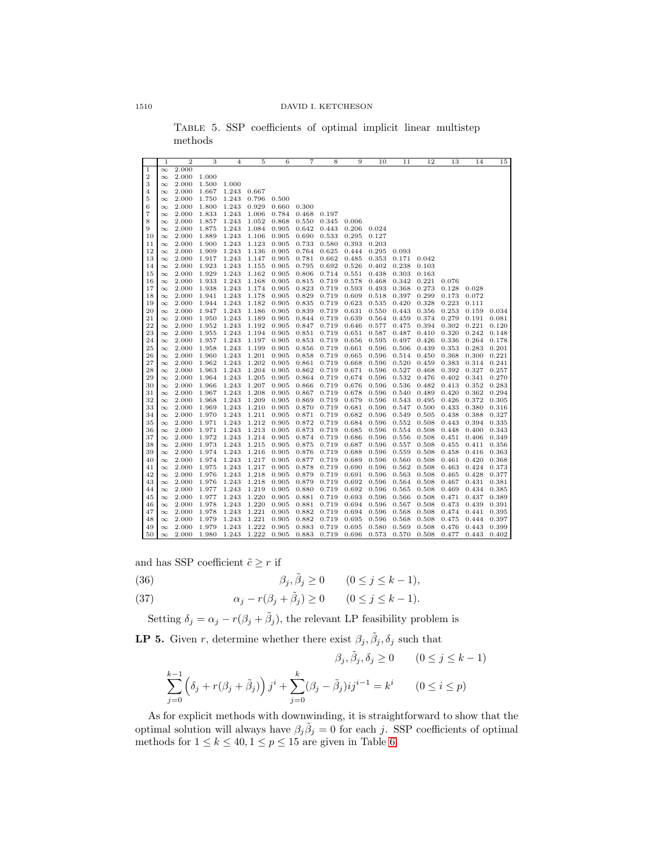<span id="page-13-0"></span>

|                | $\mathbf{1}$         | $\overline{2}$ | 3              | $\overline{4}$ | 5              | 6                   | 7              | 8              | 9              | 10             | 11             | 12             | 13             | 14             | 15             |
|----------------|----------------------|----------------|----------------|----------------|----------------|---------------------|----------------|----------------|----------------|----------------|----------------|----------------|----------------|----------------|----------------|
| I              | $\infty$             | 2.000          |                |                |                |                     |                |                |                |                |                |                |                |                |                |
| $\overline{2}$ | $\infty$             | 2.000          | 1.000          |                |                |                     |                |                |                |                |                |                |                |                |                |
| 3              | $\infty$             | 2.000          | 1.500          | 1.000          |                |                     |                |                |                |                |                |                |                |                |                |
| 4              | $\infty$             | 2.000          | 1.667          | 1.243          | 0.667          |                     |                |                |                |                |                |                |                |                |                |
| 5              | $\infty$             | 2.000          | 1.750          | 1.243          | 0.796          | 0.500               |                |                |                |                |                |                |                |                |                |
| 6              | $\infty$             | 2.000          | 1.800          | 1.243          | 0.929          | 0.660               | 0.300          |                |                |                |                |                |                |                |                |
| 7              | $\infty$             | 2.000          | 1.833          | 1.243          | 1.006          | 0.784               | 0.468          | 0.197          |                |                |                |                |                |                |                |
| 8              | $\infty$             | 2.000          | 1.857          | 1.243          | 1.052          | 0.868               | 0.550          | 0.345          | 0.006          |                |                |                |                |                |                |
| 9              | $\infty$             | 2.000          | 1.875          | 1.243          | 1.084          | 0.905               | 0.642          | 0.443          | 0.206          | 0.024          |                |                |                |                |                |
| 10             | $\infty$             | 2.000          | 1.889          | 1.243          | 1.106          | 0.905               | 0.690          | 0.533          | 0.295          | 0.127          |                |                |                |                |                |
| 11             | $\infty$             | 2.000          | 1.900          | 1.243          | 1.123          | 0.905               | 0.733          | 0.580          | 0.393          | 0.203          |                |                |                |                |                |
| 12             | $\infty$             | 2.000          | 1.909          | 1.243          | 1.136          | 0.905               | 0.764          | 0.625          | 0.444          | 0.295          | 0.093          |                |                |                |                |
| 13             | $\infty$             | 2.000          | 1.917          | 1.243          | 1.147          | 0.905               | 0.781          | 0.662          | 0.485          | 0.353          | 0.171          | 0.042          |                |                |                |
| 14             | $\infty$             | 2.000          | 1.923          | 1.243          | 1.155          | 0.905               | 0.795          | 0.692          | 0.526          | 0.402          | 0.238          | 0.103          |                |                |                |
| 15             | $\infty$             | 2.000          | 1.929          | 1.243          | 1.162          | 0.905               | 0.806          | 0.714          | 0.551          | 0.438          | 0.303          | 0.163          |                |                |                |
| 16             | $\infty$             | 2.000          | 1.933          | 1.243          | 1.168          | 0.905               | 0.815          | 0.719          | 0.578          | 0.468          | 0.342          | 0.221          | 0.076          |                |                |
| 17             | $\infty$             | 2.000<br>2.000 | 1.938          | 1.243          | 1.174          | 0.905               | 0.823          | 0.719          | 0.593          | 0.493          | 0.368          | 0.273<br>0.299 | 0.128<br>0.173 | 0.028<br>0.072 |                |
| 18             | $\infty$             |                | 1.941          | 1.243<br>1.243 | 1.178<br>1.182 | 0.905<br>0.905      | 0.829<br>0.835 | 0.719<br>0.719 | 0.609<br>0.623 | 0.518<br>0.535 | 0.397<br>0.420 | 0.328          | 0.223          |                |                |
| 19<br>20       | $\infty$             | 2.000          | 1.944<br>1.947 | 1.243          |                |                     |                |                |                |                |                |                | 0.253          | 0.111          | 0.034          |
| 21             | $\infty$             | 2.000<br>2.000 |                | 1.243          | 1.186          | 0.905               | 0.839          | 0.719          | 0.631          | 0.550          | 0.443          | 0.356<br>0.374 | 0.279          | 0.159          |                |
| 22             | $\infty$             | 2.000          | 1.950<br>1.952 | 1.243          | 1.189<br>1.192 | $_{0.905}$<br>0.905 | 0.844<br>0.847 | 0.719<br>0.719 | 0.639<br>0.646 | 0.564<br>0.577 | 0.459<br>0.475 | 0.394          | 0.302          | 0.191<br>0.221 | 0.081<br>0.120 |
| 23             | $\infty$<br>$\infty$ | 2.000          | 1.955          | 1.243          | 1.194          | 0.905               | 0.851          | 0.719          | 0.651          | 0.587          | 0.487          | 0.410          | 0.320          | 0.242          | 0.148          |
| 24             | $\infty$             | 2.000          | 1.957          | 1.243          | 1.197          | 0.905               | 0.853          | 0.719          | 0.656          | 0.595          | 0.497          | 0.426          | 0.336          | 0.264          | 0.178          |
| 25             | $\infty$             | 2.000          | 1.958          | 1.243          | 1.199          | 0.905               | 0.856          | 0.719          | 0.661          | 0.596          | 0.506          | 0.439          | 0.353          | 0.283          | 0.201          |
| 26             | $\infty$             | 2.000          | 1.960          | 1.243          | 1.201          | 0.905               | 0.858          | 0.719          | 0.665          | 0.596          | 0.514          | 0.450          | 0.368          | 0.300          | 0.221          |
| 27             | $\infty$             | 2.000          | 1.962          | 1.243          | 1.202          | 0.905               | 0.861          | 0.719          | 0.668          | 0.596          | 0.520          | 0.459          | 0.383          | 0.314          | 0.241          |
| 28             | $\infty$             | 2.000          | 1.963          | 1.243          | 1.204          | 0.905               | 0.862          | 0.719          | 0.671          | 0.596          | 0.527          | 0.468          | 0.392          | 0.327          | 0.257          |
| 29             | $\infty$             | 2.000          | 1.964          | 1.243          | 1.205          | 0.905               | 0.864          | 0.719          | 0.674          | 0.596          | 0.532          | 0.476          | 0.402          | 0.341          | 0.270          |
| 30             | $\infty$             | 2.000          | 1.966          | 1.243          | 1.207          | 0.905               | 0.866          | 0.719          | 0.676          | 0.596          | 0.536          | 0.482          | 0.413          | 0.352          | 0.283          |
| 31             | $\infty$             | 2.000          | 1.967          | 1.243          | 1.208          | 0.905               | 0.867          | 0.719          | 0.678          | 0.596          | 0.540          | 0.489          | 0.420          | 0.362          | 0.294          |
| 32             | $\infty$             | 2.000          | 1.968          | 1.243          | 1.209          | 0.905               | 0.869          | 0.719          | 0.679          | 0.596          | 0.543          | 0.495          | 0.426          | 0.372          | 0.305          |
| 33             | $\infty$             | 2.000          | 1.969          | 1.243          | 1.210          | 0.905               | 0.870          | 0.719          | 0.681          | 0.596          | 0.547          | 0.500          | 0.433          | 0.380          | 0.316          |
| 34             | $\infty$             | 2.000          | 1.970          | 1.243          | 1.211          | 0.905               | 0.871          | 0.719          | 0.682          | 0.596          | 0.549          | 0.505          | 0.438          | 0.388          | 0.327          |
| 35             | $\infty$             | 2.000          | 1.971          | 1.243          | 1.212          | 0.905               | 0.872          | 0.719          | 0.684          | 0.596          | 0.552          | 0.508          | 0.443          | 0.394          | 0.335          |
| 36             | $\infty$             | 2.000          | 1.971          | 1.243          | 1.213          | 0.905               | 0.873          | 0.719          | 0.685          | 0.596          | 0.554          | 0.508          | 0.448          | 0.400          | 0.343          |
| 37             | $\infty$             | 2.000          | 1.972          | 1.243          | 1.214          | 0.905               | 0.874          | 0.719          | 0.686          | 0.596          | 0.556          | 0.508          | 0.451          | 0.406          | 0.349          |
| 38             | $\infty$             | 2.000          | 1.973          | 1.243          | 1.215          | 0.905               | 0.875          | 0.719          | 0.687          | 0.596          | 0.557          | 0.508          | 0.455          | 0.411          | 0.356          |
| 39             | $\infty$             | 2.000          | 1.974          | 1.243          | 1.216          | 0.905               | 0.876          | 0.719          | 0.688          | 0.596          | 0.559          | 0.508          | 0.458          | 0.416          | 0.363          |
| 40             | $\infty$             | 2.000          | 1.974          | 1.243          | 1.217          | 0.905               | 0.877          | 0.719          | 0.689          | 0.596          | 0.560          | 0.508          | 0.461          | 0.420          | 0.368          |
| 41             | $\infty$             | 2.000          | 1.975          | 1.243          | 1.217          | 0.905               | 0.878          | 0.719          | 0.690          | 0.596          | 0.562          | 0.508          | 0.463          | 0.424          | 0.373          |
| 42             | $\infty$             | 2.000          | 1.976          | 1.243          | 1.218          | 0.905               | 0.879          | 0.719          | 0.691          | 0.596          | 0.563          | 0.508          | 0.465          | 0.428          | 0.377          |
| 43             | $\infty$             | 2.000          | 1.976          | 1.243          | 1.218          | 0.905               | 0.879          | 0.719          | 0.692          | 0.596          | 0.564          | 0.508          | 0.467          | 0.431          | 0.381          |
| 44             | $\infty$             | 2.000          | 1.977          | 1.243          | 1.219          | 0.905               | 0.880          | 0.719          | 0.692          | 0.596          | 0.565          | 0.508          | 0.469          | 0.434          | 0.385          |
| 45             | $\infty$             | 2.000          | 1.977          | 1.243          | 1.220          | 0.905               | 0.881          | 0.719          | 0.693          | 0.596          | 0.566          | 0.508          | 0.471          | 0.437          | 0.389          |
| 46             | $\infty$             | 2.000          | 1.978          | 1.243          | 1.220          | 0.905               | 0.881          | 0.719          | 0.694          | 0.596          | 0.567          | 0.508          | 0.473          | 0.439          | 0.391          |
| 47             | $\infty$             | 2.000          | 1.978          | 1.243          | 1.221          | 0.905               | 0.882          | 0.719          | 0.694          | 0.596          | 0.568          | 0.508          | 0.474          | 0.441          | 0.395          |
| 48             | $\infty$             | 2.000          | 1.979          | 1.243          | 1.221          | 0.905               | 0.882          | 0.719          | 0.695          | 0.596          | 0.568          | 0.508          | 0.475          | 0.444          | 0.397          |
| 49             | $\infty$             | 2.000          | 1.979          | 1.243          | 1.222          | 0.905               | 0.883          | 0.719          | 0.695          | 0.580          | 0.569          | 0.508          | 0.476          | 0.443          | 0.399          |
| 50             | $\infty$             | 2.000          | 1.980          | 1.243          | 1.222          | 0.905               | 0.883          | 0.719          | 0.696          | 0.573          | 0.570          | 0.508          | 0.477          | 0.443          | 0.402          |

Table 5. SSP coefficients of optimal implicit linear multistep methods

and has SSP coefficient  $\tilde{c}\geq r$  if

- (36)  $\beta_j, \tilde{\beta}_j \ge 0 \qquad (0 \le j \le k 1),$
- (37)  $\alpha_j r(\beta_j + \tilde{\beta}_j) \ge 0$   $(0 \le j \le k 1).$

Setting  $\delta_j = \alpha_j - r(\beta_j + \tilde{\beta}_j)$ , the relevant LP feasibility problem is

**LP 5.** Given r, determine whether there exist  $\beta_j$ ,  $\tilde{\beta}_j$ ,  $\delta_j$  such that

$$
\beta_j, \tilde{\beta}_j, \delta_j \ge 0 \qquad (0 \le j \le k-1)
$$
  

$$
\sum_{j=0}^{k-1} \left( \delta_j + r(\beta_j + \tilde{\beta}_j) \right) j^i + \sum_{j=0}^k (\beta_j - \tilde{\beta}_j) ij^{i-1} = k^i \qquad (0 \le i \le p)
$$

As for explicit methods with downwinding, it is straightforward to show that the optimal solution will always have  $\beta_j \tilde{\beta}_j = 0$  for each j. SSP coefficients of optimal methods for  $1 \leq k \leq 40, 1 \leq p \leq 15$  are given in Table [6.](#page-14-1)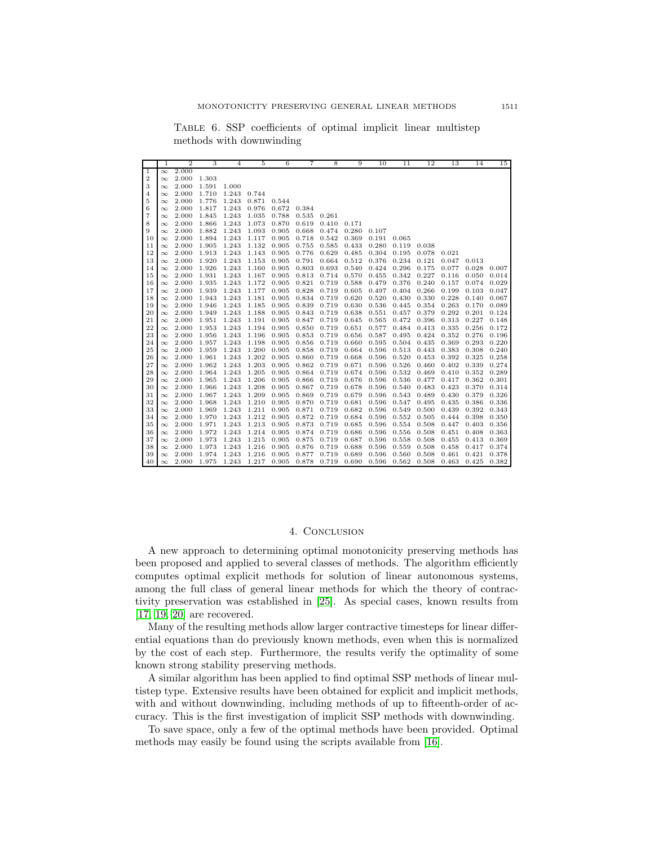<span id="page-14-1"></span>Table 6. SSP coefficients of optimal implicit linear multistep methods with downwinding

|                | 1        | $\overline{2}$ | 3     | 4     | 5     | 6     | 7     | 8     | 9     | 10    | 11    | 12    | 13    | 14    | 15    |
|----------------|----------|----------------|-------|-------|-------|-------|-------|-------|-------|-------|-------|-------|-------|-------|-------|
| 1              | $\infty$ | 2.000          |       |       |       |       |       |       |       |       |       |       |       |       |       |
| $\overline{2}$ | $\infty$ | 2.000          | 1.303 |       |       |       |       |       |       |       |       |       |       |       |       |
| 3              | $\infty$ | 2.000          | 1.591 | 1.000 |       |       |       |       |       |       |       |       |       |       |       |
| 4              | $\infty$ | 2.000          | 1.710 | 1.243 | 0.744 |       |       |       |       |       |       |       |       |       |       |
| 5              | $\infty$ | 2.000          | 1.776 | 1.243 | 0.871 | 0.544 |       |       |       |       |       |       |       |       |       |
| 6              | $\infty$ | 2.000          | 1.817 | 1.243 | 0.976 | 0.672 | 0.384 |       |       |       |       |       |       |       |       |
| 7              | $\infty$ | 2.000          | 1.845 | 1.243 | 1.035 | 0.788 | 0.535 | 0.261 |       |       |       |       |       |       |       |
| 8              | $\infty$ | 2.000          | 1.866 | 1.243 | 1.073 | 0.870 | 0.619 | 0.410 | 0.171 |       |       |       |       |       |       |
| 9              | $\infty$ | 2.000          | 1.882 | 1.243 | 1.093 | 0.905 | 0.668 | 0.474 | 0.280 | 0.107 |       |       |       |       |       |
| 10             | $\infty$ | 2.000          | 1.894 | 1.243 | 1.117 | 0.905 | 0.718 | 0.542 | 0.369 | 0.191 | 0.065 |       |       |       |       |
| 11             | $\infty$ | 2.000          | 1.905 | 1.243 | 1.132 | 0.905 | 0.755 | 0.585 | 0.433 | 0.280 | 0.119 | 0.038 |       |       |       |
| 12             | $\infty$ | 2.000          | 1.913 | 1.243 | 1.143 | 0.905 | 0.776 | 0.629 | 0.485 | 0.304 | 0.195 | 0.078 | 0.021 |       |       |
| 13             | $\infty$ | 2.000          | 1.920 | 1.243 | 1.153 | 0.905 | 0.791 | 0.664 | 0.512 | 0.376 | 0.234 | 0.121 | 0.047 | 0.013 |       |
| 14             | $\infty$ | 2.000          | 1.926 | 1.243 | 1.160 | 0.905 | 0.803 | 0.693 | 0.540 | 0.424 | 0.296 | 0.175 | 0.077 | 0.028 | 0.007 |
| 15             | $\infty$ | 2.000          | 1.931 | 1.243 | 1.167 | 0.905 | 0.813 | 0.714 | 0.570 | 0.455 | 0.342 | 0.227 | 0.116 | 0.050 | 0.014 |
| 16             | $\infty$ | 2.000          | 1.935 | 1.243 | 1.172 | 0.905 | 0.821 | 0.719 | 0.588 | 0.479 | 0.376 | 0.240 | 0.157 | 0.074 | 0.029 |
| 17             | $\infty$ | 2.000          | 1.939 | 1.243 | 1.177 | 0.905 | 0.828 | 0.719 | 0.605 | 0.497 | 0.404 | 0.266 | 0.199 | 0.103 | 0.047 |
| 18             | $\infty$ | 2.000          | 1.943 | 1.243 | 1.181 | 0.905 | 0.834 | 0.719 | 0.620 | 0.520 | 0.430 | 0.330 | 0.228 | 0.140 | 0.067 |
| 19             | $\infty$ | 2.000          | 1.946 | 1.243 | 1.185 | 0.905 | 0.839 | 0.719 | 0.630 | 0.536 | 0.445 | 0.354 | 0.263 | 0.170 | 0.089 |
| 20             | $\infty$ | 2.000          | 1.949 | 1.243 | 1.188 | 0.905 | 0.843 | 0.719 | 0.638 | 0.551 | 0.457 | 0.379 | 0.292 | 0.201 | 0.124 |
| 21             | $\infty$ | 2.000          | 1.951 | 1.243 | 1.191 | 0.905 | 0.847 | 0.719 | 0.645 | 0.565 | 0.472 | 0.396 | 0.313 | 0.227 | 0.148 |
| 22             | $\infty$ | 2.000          | 1.953 | 1.243 | 1.194 | 0.905 | 0.850 | 0.719 | 0.651 | 0.577 | 0.484 | 0.413 | 0.335 | 0.256 | 0.172 |
| 23             | $\infty$ | 2.000          | 1.956 | 1.243 | 1.196 | 0.905 | 0.853 | 0.719 | 0.656 | 0.587 | 0.495 | 0.424 | 0.352 | 0.276 | 0.196 |
| 24             | $\infty$ | 2.000          | 1.957 | 1.243 | 1.198 | 0.905 | 0.856 | 0.719 | 0.660 | 0.595 | 0.504 | 0.435 | 0.369 | 0.293 | 0.220 |
| 25             | $\infty$ | 2.000          | 1.959 | 1.243 | 1.200 | 0.905 | 0.858 | 0.719 | 0.664 | 0.596 | 0.513 | 0.443 | 0.383 | 0.308 | 0.240 |
| 26             | $\infty$ | 2.000          | 1.961 | 1.243 | 1.202 | 0.905 | 0.860 | 0.719 | 0.668 | 0.596 | 0.520 | 0.453 | 0.392 | 0.325 | 0.258 |
| 27             | $\infty$ | 2.000          | 1.962 | 1.243 | 1.203 | 0.905 | 0.862 | 0.719 | 0.671 | 0.596 | 0.526 | 0.460 | 0.402 | 0.339 | 0.274 |
| 28             | $\infty$ | 2.000          | 1.964 | 1.243 | 1.205 | 0.905 | 0.864 | 0.719 | 0.674 | 0.596 | 0.532 | 0.469 | 0.410 | 0.352 | 0.289 |
| 29             | $\infty$ | 2.000          | 1.965 | 1.243 | 1.206 | 0.905 | 0.866 | 0.719 | 0.676 | 0.596 | 0.536 | 0.477 | 0.417 | 0.362 | 0.301 |
| 30             | $\infty$ | 2.000          | 1.966 | 1.243 | 1.208 | 0.905 | 0.867 | 0.719 | 0.678 | 0.596 | 0.540 | 0.483 | 0.423 | 0.370 | 0.314 |
| 31             | $\infty$ | 2.000          | 1.967 | 1.243 | 1.209 | 0.905 | 0.869 | 0.719 | 0.679 | 0.596 | 0.543 | 0.489 | 0.430 | 0.379 | 0.326 |
| 32             | $\infty$ | 2.000          | 1.968 | 1.243 | 1.210 | 0.905 | 0.870 | 0.719 | 0.681 | 0.596 | 0.547 | 0.495 | 0.435 | 0.386 | 0.336 |
| 33             | $\infty$ | 2.000          | 1.969 | 1.243 | 1.211 | 0.905 | 0.871 | 0.719 | 0.682 | 0.596 | 0.549 | 0.500 | 0.439 | 0.392 | 0.343 |
| 34             | $\infty$ | 2.000          | 1.970 | 1.243 | 1.212 | 0.905 | 0.872 | 0.719 | 0.684 | 0.596 | 0.552 | 0.505 | 0.444 | 0.398 | 0.350 |
| 35             | $\infty$ | 2.000          | 1.971 | 1.243 | 1.213 | 0.905 | 0.873 | 0.719 | 0.685 | 0.596 | 0.554 | 0.508 | 0.447 | 0.403 | 0.356 |
| 36             | $\infty$ | 2.000          | 1.972 | 1.243 | 1.214 | 0.905 | 0.874 | 0.719 | 0.686 | 0.596 | 0.556 | 0.508 | 0.451 | 0.408 | 0.363 |
| 37             | $\infty$ | 2.000          | 1.973 | 1.243 | 1.215 | 0.905 | 0.875 | 0.719 | 0.687 | 0.596 | 0.558 | 0.508 | 0.455 | 0.413 | 0.369 |
| 38             | $\infty$ | 2.000          | 1.973 | 1.243 | 1.216 | 0.905 | 0.876 | 0.719 | 0.688 | 0.596 | 0.559 | 0.508 | 0.458 | 0.417 | 0.374 |
| 39             | $\infty$ | 2.000          | 1.974 | 1.243 | 1.216 | 0.905 | 0.877 | 0.719 | 0.689 | 0.596 | 0.560 | 0.508 | 0.461 | 0.421 | 0.378 |
| 40             | $\infty$ | 2.000          | 1.975 | 1.243 | 1.217 | 0.905 | 0.878 | 0.719 | 0.690 | 0.596 | 0.562 | 0.508 | 0.463 | 0.425 | 0.382 |

## 4. Conclusion

<span id="page-14-0"></span>A new approach to determining optimal monotonicity preserving methods has been proposed and applied to several classes of methods. The algorithm efficiently computes optimal explicit methods for solution of linear autonomous systems, among the full class of general linear methods for which the theory of contractivity preservation was established in [\[25\]](#page-16-0). As special cases, known results from [\[17,](#page-15-4) [19,](#page-15-5) [20\]](#page-15-6) are recovered.

Many of the resulting methods allow larger contractive timesteps for linear differential equations than do previously known methods, even when this is normalized by the cost of each step. Furthermore, the results verify the optimality of some known strong stability preserving methods.

A similar algorithm has been applied to find optimal SSP methods of linear multistep type. Extensive results have been obtained for explicit and implicit methods, with and without downwinding, including methods of up to fifteenth-order of accuracy. This is the first investigation of implicit SSP methods with downwinding.

To save space, only a few of the optimal methods have been provided. Optimal methods may easily be found using the scripts available from [\[16\]](#page-15-17).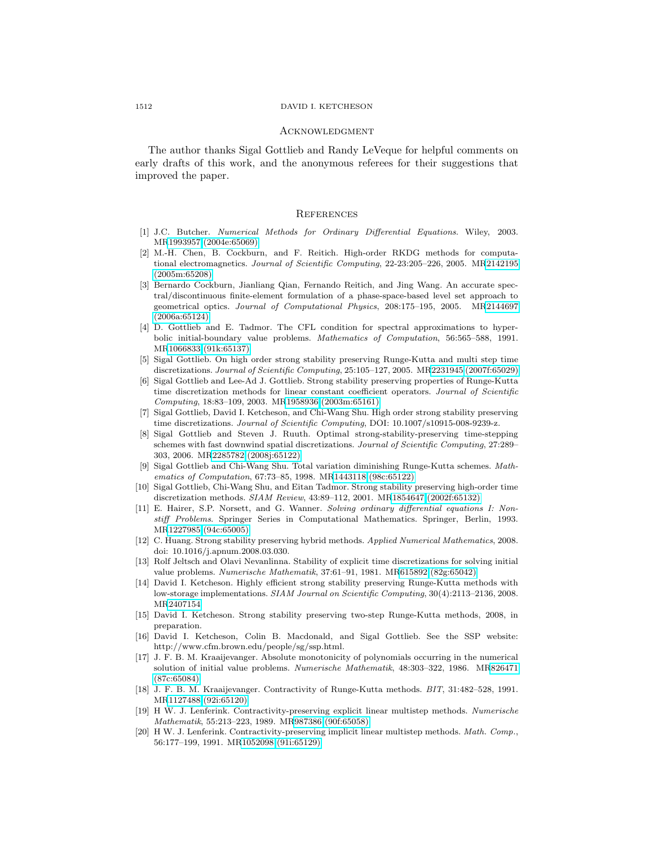#### 1512 DAVID I. KETCHESON

#### **ACKNOWLEDGMENT**

The author thanks Sigal Gottlieb and Randy LeVeque for helpful comments on early drafts of this work, and the anonymous referees for their suggestions that improved the paper.

### **REFERENCES**

- <span id="page-15-13"></span>[1] J.C. Butcher. Numerical Methods for Ordinary Differential Equations. Wiley, 2003. M[R1993957 \(2004e:65069\)](http://www.ams.org/mathscinet-getitem?mr=1993957)
- <span id="page-15-9"></span>[2] M.-H. Chen, B. Cockburn, and F. Reitich. High-order RKDG methods for computational electromagnetics. Journal of Scientific Computing, 22-23:205–226, 2005. M[R2142195](http://www.ams.org/mathscinet-getitem?mr=2142195) [\(2005m:65208\)](http://www.ams.org/mathscinet-getitem?mr=2142195)
- <span id="page-15-10"></span>[3] Bernardo Cockburn, Jianliang Qian, Fernando Reitich, and Jing Wang. An accurate spectral/discontinuous finite-element formulation of a phase-space-based level set approach to geometrical optics. Journal of Computational Physics, 208:175–195, 2005. M[R2144697](http://www.ams.org/mathscinet-getitem?mr=2144697) [\(2006a:65124\)](http://www.ams.org/mathscinet-getitem?mr=2144697)
- <span id="page-15-11"></span>[4] D. Gottlieb and E. Tadmor. The CFL condition for spectral approximations to hyperbolic initial-boundary value problems. Mathematics of Computation, 56:565–588, 1991. M[R1066833 \(91k:65137\)](http://www.ams.org/mathscinet-getitem?mr=1066833)
- <span id="page-15-7"></span>[5] Sigal Gottlieb. On high order strong stability preserving Runge-Kutta and multi step time discretizations. Journal of Scientific Computing, 25:105–127, 2005. M[R2231945 \(2007f:65029\)](http://www.ams.org/mathscinet-getitem?mr=2231945)
- <span id="page-15-8"></span>[6] Sigal Gottlieb and Lee-Ad J. Gottlieb. Strong stability preserving properties of Runge-Kutta time discretization methods for linear constant coefficient operators. Journal of Scientific Computing, 18:83–109, 2003. M[R1958936 \(2003m:65161\)](http://www.ams.org/mathscinet-getitem?mr=1958936)
- <span id="page-15-0"></span>[7] Sigal Gottlieb, David I. Ketcheson, and Chi-Wang Shu. High order strong stability preserving time discretizations. Journal of Scientific Computing, DOI: 10.1007/s10915-008-9239-z.
- <span id="page-15-3"></span>[8] Sigal Gottlieb and Steven J. Ruuth. Optimal strong-stability-preserving time-stepping schemes with fast downwind spatial discretizations. Journal of Scientific Computing, 27:289– 303, 2006. M[R2285782 \(2008j:65122\)](http://www.ams.org/mathscinet-getitem?mr=2285782)
- <span id="page-15-19"></span>[9] Sigal Gottlieb and Chi-Wang Shu. Total variation diminishing Runge-Kutta schemes. Mathematics of Computation, 67:73–85, 1998. M[R1443118 \(98c:65122\)](http://www.ams.org/mathscinet-getitem?mr=1443118)
- <span id="page-15-12"></span>[10] Sigal Gottlieb, Chi-Wang Shu, and Eitan Tadmor. Strong stability preserving high-order time discretization methods. SIAM Review, 43:89–112, 2001. M[R1854647 \(2002f:65132\)](http://www.ams.org/mathscinet-getitem?mr=1854647)
- <span id="page-15-14"></span>[11] E. Hairer, S.P. Norsett, and G. Wanner. Solving ordinary differential equations I: Nonstiff Problems. Springer Series in Computational Mathematics. Springer, Berlin, 1993. M[R1227985 \(94c:65005\)](http://www.ams.org/mathscinet-getitem?mr=1227985)
- <span id="page-15-2"></span>[12] C. Huang. Strong stability preserving hybrid methods. Applied Numerical Mathematics, 2008. doi: 10.1016/j.apnum.2008.03.030.
- <span id="page-15-16"></span>[13] Rolf Jeltsch and Olavi Nevanlinna. Stability of explicit time discretizations for solving initial value problems. Numerische Mathematik, 37:61–91, 1981. M[R615892 \(82g:65042\)](http://www.ams.org/mathscinet-getitem?mr=615892)
- <span id="page-15-1"></span>[14] David I. Ketcheson. Highly efficient strong stability preserving Runge-Kutta methods with low-storage implementations. SIAM Journal on Scientific Computing, 30(4):2113–2136, 2008. M[R2407154](http://www.ams.org/mathscinet-getitem?mr=2407154)
- <span id="page-15-18"></span>[15] David I. Ketcheson. Strong stability preserving two-step Runge-Kutta methods, 2008, in preparation.
- <span id="page-15-17"></span>[16] David I. Ketcheson, Colin B. Macdonald, and Sigal Gottlieb. See the SSP website: http://www.cfm.brown.edu/people/sg/ssp.html.
- <span id="page-15-4"></span>[17] J. F. B. M. Kraaijevanger. Absolute monotonicity of polynomials occurring in the numerical solution of initial value problems. Numerische Mathematik, 48:303–322, 1986. M[R826471](http://www.ams.org/mathscinet-getitem?mr=826471) [\(87c:65084\)](http://www.ams.org/mathscinet-getitem?mr=826471)
- <span id="page-15-15"></span>[18] J. F. B. M. Kraaijevanger. Contractivity of Runge-Kutta methods. BIT, 31:482–528, 1991. M[R1127488 \(92i:65120\)](http://www.ams.org/mathscinet-getitem?mr=1127488)
- <span id="page-15-5"></span>[19] H W. J. Lenferink. Contractivity-preserving explicit linear multistep methods. Numerische Mathematik, 55:213–223, 1989. M[R987386 \(90f:65058\)](http://www.ams.org/mathscinet-getitem?mr=987386)
- <span id="page-15-6"></span>[20] H W. J. Lenferink. Contractivity-preserving implicit linear multistep methods. Math. Comp., 56:177–199, 1991. M[R1052098 \(91i:65129\)](http://www.ams.org/mathscinet-getitem?mr=1052098)